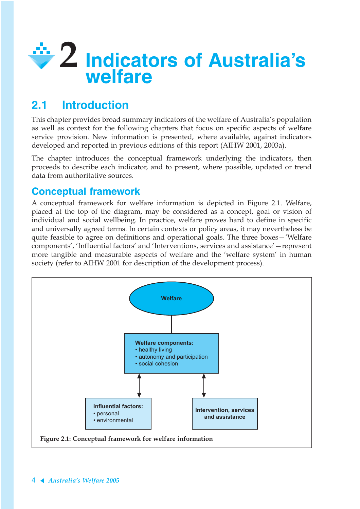

# **2.1 Introduction**

This chapter provides broad summary indicators of the welfare of Australia's population as well as context for the following chapters that focus on specific aspects of welfare service provision. New information is presented, where available, against indicators developed and reported in previous editions of this report (AIHW 2001, 2003a).

The chapter introduces the conceptual framework underlying the indicators, then proceeds to describe each indicator, and to present, where possible, updated or trend data from authoritative sources.

## **Conceptual framework**

A conceptual framework for welfare information is depicted in Figure 2.1. Welfare, placed at the top of the diagram, may be considered as a concept, goal or vision of individual and social wellbeing. In practice, welfare proves hard to define in specific and universally agreed terms. In certain contexts or policy areas, it may nevertheless be quite feasible to agree on definitions and operational goals. The three boxes—'Welfare components', 'Influential factors' and 'Interventions, services and assistance'—represent more tangible and measurable aspects of welfare and the 'welfare system' in human society (refer to AIHW 2001 for description of the development process).

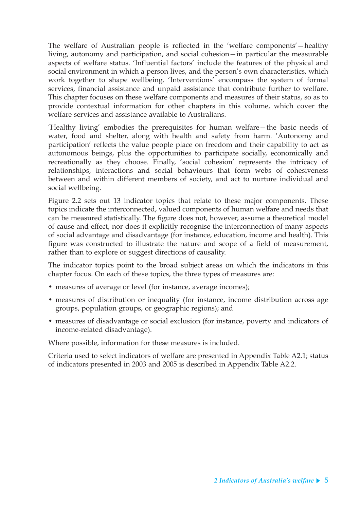The welfare of Australian people is reflected in the 'welfare components'—healthy living, autonomy and participation, and social cohesion—in particular the measurable aspects of welfare status. 'Influential factors' include the features of the physical and social environment in which a person lives, and the person's own characteristics, which work together to shape wellbeing. 'Interventions' encompass the system of formal services, financial assistance and unpaid assistance that contribute further to welfare. This chapter focuses on these welfare components and measures of their status, so as to provide contextual information for other chapters in this volume, which cover the welfare services and assistance available to Australians.

'Healthy living' embodies the prerequisites for human welfare—the basic needs of water, food and shelter, along with health and safety from harm. 'Autonomy and participation' reflects the value people place on freedom and their capability to act as autonomous beings, plus the opportunities to participate socially, economically and recreationally as they choose. Finally, 'social cohesion' represents the intricacy of relationships, interactions and social behaviours that form webs of cohesiveness between and within different members of society, and act to nurture individual and social wellbeing.

Figure 2.2 sets out 13 indicator topics that relate to these major components. These topics indicate the interconnected, valued components of human welfare and needs that can be measured statistically. The figure does not, however, assume a theoretical model of cause and effect, nor does it explicitly recognise the interconnection of many aspects of social advantage and disadvantage (for instance, education, income and health). This figure was constructed to illustrate the nature and scope of a field of measurement, rather than to explore or suggest directions of causality.

The indicator topics point to the broad subject areas on which the indicators in this chapter focus. On each of these topics, the three types of measures are:

- measures of average or level (for instance, average incomes);
- measures of distribution or inequality (for instance, income distribution across age groups, population groups, or geographic regions); and
- measures of disadvantage or social exclusion (for instance, poverty and indicators of income-related disadvantage).

Where possible, information for these measures is included.

Criteria used to select indicators of welfare are presented in Appendix Table A2.1; status of indicators presented in 2003 and 2005 is described in Appendix Table A2.2.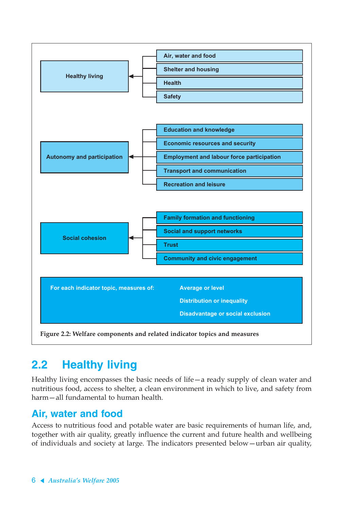

# **2.2 Healthy living**

Healthy living encompasses the basic needs of life—a ready supply of clean water and nutritious food, access to shelter, a clean environment in which to live, and safety from harm—all fundamental to human health.

## **Air, water and food**

Access to nutritious food and potable water are basic requirements of human life, and, together with air quality, greatly influence the current and future health and wellbeing of individuals and society at large. The indicators presented below—urban air quality,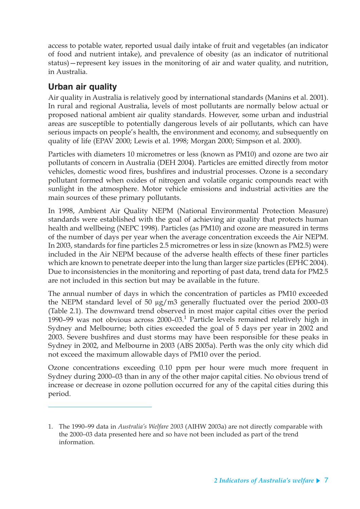access to potable water, reported usual daily intake of fruit and vegetables (an indicator of food and nutrient intake), and prevalence of obesity (as an indicator of nutritional status)—represent key issues in the monitoring of air and water quality, and nutrition, in Australia.

### **Urban air quality**

Air quality in Australia is relatively good by international standards (Manins et al. 2001). In rural and regional Australia, levels of most pollutants are normally below actual or proposed national ambient air quality standards. However, some urban and industrial areas are susceptible to potentially dangerous levels of air pollutants, which can have serious impacts on people's health, the environment and economy, and subsequently on quality of life (EPAV 2000; Lewis et al. 1998; Morgan 2000; Simpson et al. 2000).

Particles with diameters 10 micrometres or less (known as PM10) and ozone are two air pollutants of concern in Australia (DEH 2004). Particles are emitted directly from motor vehicles, domestic wood fires, bushfires and industrial processes. Ozone is a secondary pollutant formed when oxides of nitrogen and volatile organic compounds react with sunlight in the atmosphere. Motor vehicle emissions and industrial activities are the main sources of these primary pollutants.

In 1998, Ambient Air Quality NEPM (National Environmental Protection Measure) standards were established with the goal of achieving air quality that protects human health and wellbeing (NEPC 1998). Particles (as PM10) and ozone are measured in terms of the number of days per year when the average concentration exceeds the Air NEPM. In 2003, standards for fine particles 2.5 micrometres or less in size (known as PM2.5) were included in the Air NEPM because of the adverse health effects of these finer particles which are known to penetrate deeper into the lung than larger size particles (EPHC 2004). Due to inconsistencies in the monitoring and reporting of past data, trend data for PM2.5 are not included in this section but may be available in the future.

The annual number of days in which the concentration of particles as PM10 exceeded the NEPM standard level of 50 µg/m3 generally fluctuated over the period 2000–03 (Table 2.1). The downward trend observed in most major capital cities over the period 1990–99 was not obvious across  $2000$ –03. $^1$  Particle levels remained relatively high in Sydney and Melbourne; both cities exceeded the goal of 5 days per year in 2002 and 2003. Severe bushfires and dust storms may have been responsible for these peaks in Sydney in 2002, and Melbourne in 2003 (ABS 2005a). Perth was the only city which did not exceed the maximum allowable days of PM10 over the period.

Ozone concentrations exceeding 0.10 ppm per hour were much more frequent in Sydney during 2000–03 than in any of the other major capital cities. No obvious trend of increase or decrease in ozone pollution occurred for any of the capital cities during this period.

<sup>1.</sup> The 1990–99 data in *Australia's Welfare 2003* (AIHW 2003a) are not directly comparable with the 2000–03 data presented here and so have not been included as part of the trend information.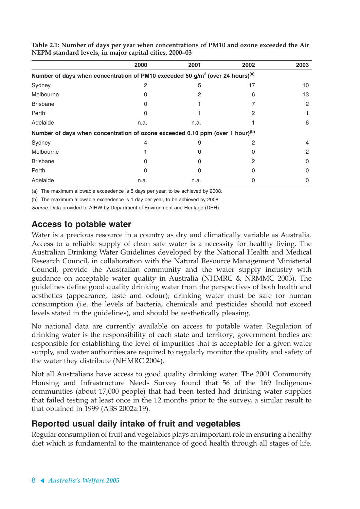|                                                                                                       | 2000 | 2001 | 2002 | 2003 |
|-------------------------------------------------------------------------------------------------------|------|------|------|------|
| Number of days when concentration of PM10 exceeded 50 g/m <sup>3</sup> (over 24 hours) <sup>(a)</sup> |      |      |      |      |
| Sydney                                                                                                | 2    | 5    | 17   | 10   |
| Melbourne                                                                                             |      |      | 6    | 13   |
| <b>Brisbane</b>                                                                                       |      |      |      | 2    |
| Perth                                                                                                 | 0    |      | 2    |      |
| Adelaide                                                                                              | n.a. | n.a. |      | 6    |
| Number of days when concentration of ozone exceeded 0.10 ppm (over 1 hour) <sup>(b)</sup>             |      |      |      |      |
| Sydney                                                                                                | 4    | 9    | 2    | 4    |
| Melbourne                                                                                             |      |      |      | 2    |
| <b>Brisbane</b>                                                                                       |      |      | 2    | 0    |
| Perth                                                                                                 | 0    |      | 0    | 0    |
| Adelaide                                                                                              | n.a. | n.a. |      | 0    |

**Table 2.1: Number of days per year when concentrations of PM10 and ozone exceeded the Air NEPM standard levels, in major capital cities, 2000–03**

(a) The maximum allowable exceedence is 5 days per year, to be achieved by 2008.

(b) The maximum allowable exceedence is 1 day per year, to be achieved by 2008.

Source: Data provided to AIHW by Department of Environment and Heritage (DEH).

### **Access to potable water**

Water is a precious resource in a country as dry and climatically variable as Australia. Access to a reliable supply of clean safe water is a necessity for healthy living. The Australian Drinking Water Guidelines developed by the National Health and Medical Research Council, in collaboration with the Natural Resource Management Ministerial Council, provide the Australian community and the water supply industry with guidance on acceptable water quality in Australia (NHMRC & NRMMC 2003). The guidelines define good quality drinking water from the perspectives of both health and aesthetics (appearance, taste and odour); drinking water must be safe for human consumption (i.e. the levels of bacteria, chemicals and pesticides should not exceed levels stated in the guidelines), and should be aesthetically pleasing.

No national data are currently available on access to potable water. Regulation of drinking water is the responsibility of each state and territory; government bodies are responsible for establishing the level of impurities that is acceptable for a given water supply, and water authorities are required to regularly monitor the quality and safety of the water they distribute (NHMRC 2004).

Not all Australians have access to good quality drinking water. The 2001 Community Housing and Infrastructure Needs Survey found that 56 of the 169 Indigenous communities (about 17,000 people) that had been tested had drinking water supplies that failed testing at least once in the 12 months prior to the survey, a similar result to that obtained in 1999 (ABS 2002a:19).

### **Reported usual daily intake of fruit and vegetables**

Regular consumption of fruit and vegetables plays an important role in ensuring a healthy diet which is fundamental to the maintenance of good health through all stages of life.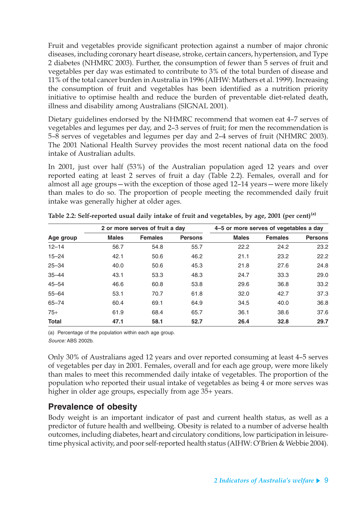Fruit and vegetables provide significant protection against a number of major chronic diseases, including coronary heart disease, stroke, certain cancers, hypertension, and Type 2 diabetes (NHMRC 2003). Further, the consumption of fewer than 5 serves of fruit and vegetables per day was estimated to contribute to 3% of the total burden of disease and 11% of the total cancer burden in Australia in 1996 (AIHW: Mathers et al. 1999). Increasing the consumption of fruit and vegetables has been identified as a nutrition priority initiative to optimise health and reduce the burden of preventable diet-related death, illness and disability among Australians (SIGNAL 2001).

Dietary guidelines endorsed by the NHMRC recommend that women eat 4–7 serves of vegetables and legumes per day, and 2–3 serves of fruit; for men the recommendation is 5–8 serves of vegetables and legumes per day and 2–4 serves of fruit (NHMRC 2003). The 2001 National Health Survey provides the most recent national data on the food intake of Australian adults.

In 2001, just over half (53%) of the Australian population aged 12 years and over reported eating at least 2 serves of fruit a day (Table 2.2). Females, overall and for almost all age groups—with the exception of those aged 12–14 years—were more likely than males to do so. The proportion of people meeting the recommended daily fruit intake was generally higher at older ages.

| 2 or more serves of fruit a day |              |                |                | 4-5 or more serves of vegetables a day |                |                |
|---------------------------------|--------------|----------------|----------------|----------------------------------------|----------------|----------------|
| Age group                       | <b>Males</b> | <b>Females</b> | <b>Persons</b> | <b>Males</b>                           | <b>Females</b> | <b>Persons</b> |
| $12 - 14$                       | 56.7         | 54.8           | 55.7           | 22.2                                   | 24.2           | 23.2           |
| $15 - 24$                       | 42.1         | 50.6           | 46.2           | 21.1                                   | 23.2           | 22.2           |
| $25 - 34$                       | 40.0         | 50.6           | 45.3           | 21.8                                   | 27.6           | 24.8           |
| $35 - 44$                       | 43.1         | 53.3           | 48.3           | 24.7                                   | 33.3           | 29.0           |
| $45 - 54$                       | 46.6         | 60.8           | 53.8           | 29.6                                   | 36.8           | 33.2           |
| $55 - 64$                       | 53.1         | 70.7           | 61.8           | 32.0                                   | 42.7           | 37.3           |
| $65 - 74$                       | 60.4         | 69.1           | 64.9           | 34.5                                   | 40.0           | 36.8           |
| $75+$                           | 61.9         | 68.4           | 65.7           | 36.1                                   | 38.6           | 37.6           |
| <b>Total</b>                    | 47.1         | 58.1           | 52.7           | 26.4                                   | 32.8           | 29.7           |

**Table 2.2: Self-reported usual daily intake of fruit and vegetables, by age, 2001 (per cent)(a)**

(a) Percentage of the population within each age group. Source: ABS 2002b.

Only 30% of Australians aged 12 years and over reported consuming at least 4–5 serves of vegetables per day in 2001. Females, overall and for each age group, were more likely than males to meet this recommended daily intake of vegetables. The proportion of the population who reported their usual intake of vegetables as being 4 or more serves was higher in older age groups, especially from age 35+ years.

### **Prevalence of obesity**

Body weight is an important indicator of past and current health status, as well as a predictor of future health and wellbeing. Obesity is related to a number of adverse health outcomes, including diabetes, heart and circulatory conditions, low participation in leisuretime physical activity, and poor self-reported health status (AIHW: O'Brien & Webbie 2004).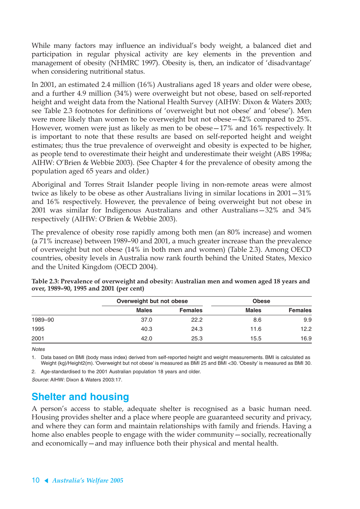While many factors may influence an individual's body weight, a balanced diet and participation in regular physical activity are key elements in the prevention and management of obesity (NHMRC 1997). Obesity is, then, an indicator of 'disadvantage' when considering nutritional status.

In 2001, an estimated 2.4 million (16%) Australians aged 18 years and older were obese, and a further 4.9 million (34%) were overweight but not obese, based on self-reported height and weight data from the National Health Survey (AIHW: Dixon & Waters 2003; see Table 2.3 footnotes for definitions of 'overweight but not obese' and 'obese'). Men were more likely than women to be overweight but not obese—42% compared to 25%. However, women were just as likely as men to be obese—17% and 16% respectively. It is important to note that these results are based on self-reported height and weight estimates; thus the true prevalence of overweight and obesity is expected to be higher, as people tend to overestimate their height and underestimate their weight (ABS 1998a; AIHW: O'Brien & Webbie 2003). (See Chapter 4 for the prevalence of obesity among the population aged 65 years and older.)

Aboriginal and Torres Strait Islander people living in non-remote areas were almost twice as likely to be obese as other Australians living in similar locations in 2001—31% and 16% respectively. However, the prevalence of being overweight but not obese in 2001 was similar for Indigenous Australians and other Australians—32% and 34% respectively (AIHW: O'Brien & Webbie 2003).

The prevalence of obesity rose rapidly among both men (an 80% increase) and women (a 71% increase) between 1989–90 and 2001, a much greater increase than the prevalence of overweight but not obese (14% in both men and women) (Table 2.3). Among OECD countries, obesity levels in Australia now rank fourth behind the United States, Mexico and the United Kingdom (OECD 2004).

|         | Overweight but not obese |                | <b>Obese</b> |                |  |
|---------|--------------------------|----------------|--------------|----------------|--|
|         | <b>Males</b>             | <b>Females</b> | <b>Males</b> | <b>Females</b> |  |
| 1989-90 | 37.0                     | 22.2           | 8.6          | 9.9            |  |
| 1995    | 40.3                     | 24.3           | 11.6         | 12.2           |  |
| 2001    | 42.0                     | 25.3           | 15.5         | 16.9           |  |

**Table 2.3: Prevalence of overweight and obesity: Australian men and women aged 18 years and over, 1989–90, 1995 and 2001 (per cent)**

**Notes** 

1. Data based on BMI (body mass index) derived from self-reported height and weight measurements. BMI is calculated as Weight (kg)/Height2(m). 'Overweight but not obese' is measured as BMI 25 and BMI <30. 'Obesity' is measured as BMI 30.

2. Age-standardised to the 2001 Australian population 18 years and older.

Source: AIHW: Dixon & Waters 2003:17.

## **Shelter and housing**

A person's access to stable, adequate shelter is recognised as a basic human need. Housing provides shelter and a place where people are guaranteed security and privacy, and where they can form and maintain relationships with family and friends. Having a home also enables people to engage with the wider community—socially, recreationally and economically—and may influence both their physical and mental health.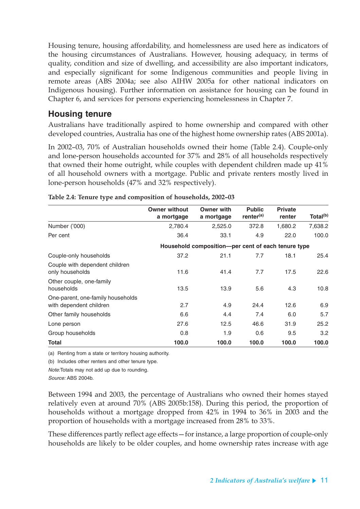Housing tenure, housing affordability, and homelessness are used here as indicators of the housing circumstances of Australians. However, housing adequacy, in terms of quality, condition and size of dwelling, and accessibility are also important indicators, and especially significant for some Indigenous communities and people living in remote areas (ABS 2004a; see also AIHW 2005a for other national indicators on Indigenous housing). Further information on assistance for housing can be found in Chapter 6, and services for persons experiencing homelessness in Chapter 7.

### **Housing tenure**

Australians have traditionally aspired to home ownership and compared with other developed countries, Australia has one of the highest home ownership rates (ABS 2001a).

In 2002–03, 70% of Australian households owned their home (Table 2.4). Couple-only and lone-person households accounted for 37% and 28% of all households respectively that owned their home outright, while couples with dependent children made up 41% of all household owners with a mortgage. Public and private renters mostly lived in lone-person households (47% and 32% respectively).

|                                                              | <b>Owner without</b><br>a mortgage | <b>Owner with</b><br>a mortgage                     | <b>Public</b><br>renter <sup>(a)</sup> | <b>Private</b><br>renter | Total <sup>(b)</sup> |
|--------------------------------------------------------------|------------------------------------|-----------------------------------------------------|----------------------------------------|--------------------------|----------------------|
| Number ('000)                                                | 2,780.4                            | 2,525.0                                             | 372.8                                  | 1,680.2                  | 7,638.2              |
| Per cent                                                     | 36.4                               | 33.1                                                | 4.9                                    | 22.0                     | 100.0                |
|                                                              |                                    | Household composition--per cent of each tenure type |                                        |                          |                      |
| Couple-only households                                       | 37.2                               | 21.1                                                | 7.7                                    | 18.1                     | 25.4                 |
| Couple with dependent children<br>only households            | 11.6                               | 41.4                                                | 7.7                                    | 17.5                     | 22.6                 |
| Other couple, one-family<br>households                       | 13.5                               | 13.9                                                | 5.6                                    | 4.3                      | 10.8                 |
| One-parent, one-family households<br>with dependent children | 2.7                                | 4.9                                                 | 24.4                                   | 12.6                     | 6.9                  |
| Other family households                                      | 6.6                                | 4.4                                                 | 7.4                                    | 6.0                      | 5.7                  |
| Lone person                                                  | 27.6                               | 12.5                                                | 46.6                                   | 31.9                     | 25.2                 |
| Group households                                             | 0.8                                | 1.9                                                 | 0.6                                    | 9.5                      | 3.2                  |
| Total                                                        | 100.0                              | 100.0                                               | 100.0                                  | 100.0                    | 100.0                |

|  |  | Table 2.4: Tenure type and composition of households, 2002-03 |  |
|--|--|---------------------------------------------------------------|--|
|  |  |                                                               |  |

(a) Renting from a state or territory housing authority.

(b) Includes other renters and other tenure type.

Note:Totals may not add up due to rounding.

Source: ABS 2004b.

Between 1994 and 2003, the percentage of Australians who owned their homes stayed relatively even at around 70% (ABS 2005b:158). During this period, the proportion of households without a mortgage dropped from 42% in 1994 to 36% in 2003 and the proportion of households with a mortgage increased from 28% to 33%.

These differences partly reflect age effects—for instance, a large proportion of couple-only households are likely to be older couples, and home ownership rates increase with age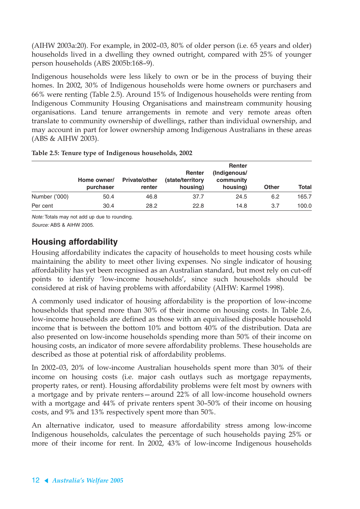(AIHW 2003a:20). For example, in 2002–03, 80% of older person (i.e. 65 years and older) households lived in a dwelling they owned outright, compared with 25% of younger person households (ABS 2005b:168–9).

Indigenous households were less likely to own or be in the process of buying their homes. In 2002, 30% of Indigenous households were home owners or purchasers and 66% were renting (Table 2.5). Around 15% of Indigenous households were renting from Indigenous Community Housing Organisations and mainstream community housing organisations. Land tenure arrangements in remote and very remote areas often translate to community ownership of dwellings, rather than individual ownership, and may account in part for lower ownership among Indigenous Australians in these areas (ABS & AIHW 2003).

|               |                          |                                | Renter                       | <b>Renter</b><br>(Indigenous/ |              |              |
|---------------|--------------------------|--------------------------------|------------------------------|-------------------------------|--------------|--------------|
|               | Home owner/<br>purchaser | <b>Private/other</b><br>renter | (state/territory<br>housing) | community<br>housing)         | <b>Other</b> | <b>Total</b> |
| Number ('000) | 50.4                     | 46.8                           | 37.7                         | 24.5                          | 6.2          | 165.7        |
| Per cent      | 30.4                     | 28.2                           | 22.8                         | 14.8                          | 3.7          | 100.0        |

Note: Totals may not add up due to rounding.

Source: ABS & AIHW 2005.

## **Housing affordability**

Housing affordability indicates the capacity of households to meet housing costs while maintaining the ability to meet other living expenses. No single indicator of housing affordability has yet been recognised as an Australian standard, but most rely on cut-off points to identify 'low-income households', since such households should be considered at risk of having problems with affordability (AIHW: Karmel 1998).

A commonly used indicator of housing affordability is the proportion of low-income households that spend more than 30% of their income on housing costs. In Table 2.6, low-income households are defined as those with an equivalised disposable household income that is between the bottom 10% and bottom 40% of the distribution. Data are also presented on low-income households spending more than 50% of their income on housing costs, an indicator of more severe affordability problems. These households are described as those at potential risk of affordability problems.

In 2002–03, 20% of low-income Australian households spent more than 30% of their income on housing costs (i.e. major cash outlays such as mortgage repayments, property rates, or rent). Housing affordability problems were felt most by owners with a mortgage and by private renters—around 22% of all low-income household owners with a mortgage and 44% of private renters spent 30–50% of their income on housing costs, and 9% and 13% respectively spent more than 50%.

An alternative indicator, used to measure affordability stress among low-income Indigenous households, calculates the percentage of such households paying 25% or more of their income for rent. In 2002, 43% of low-income Indigenous households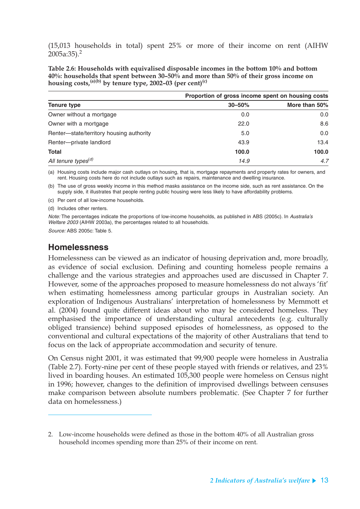(15,013 households in total) spent 25% or more of their income on rent (AIHW  $2005a:35$ ).<sup>2</sup>

**Table 2.6: Households with equivalised disposable incomes in the bottom 10% and bottom 40%: households that spent between 30–50% and more than 50% of their gross income on**  housing costs,<sup> $(a)(b)$ </sup> by tenure type, 2002–03 (per cent)<sup>(c)</sup>

|                                          |            | Proportion of gross income spent on housing costs |  |  |  |
|------------------------------------------|------------|---------------------------------------------------|--|--|--|
| <b>Tenure type</b>                       | $30 - 50%$ | More than 50%                                     |  |  |  |
| Owner without a mortgage                 | 0.0        | 0.0                                               |  |  |  |
| Owner with a mortgage                    | 22.0       | 8.6                                               |  |  |  |
| Renter-state/territory housing authority | 5.0        | 0.0                                               |  |  |  |
| Renter-private landlord                  | 43.9       | 13.4                                              |  |  |  |
| <b>Total</b>                             | 100.0      | 100.0                                             |  |  |  |
| All tenure types <sup>(d)</sup>          | 14.9       | 4.7                                               |  |  |  |

(a) Housing costs include major cash outlays on housing, that is, mortgage repayments and property rates for owners, and rent. Housing costs here do not include outlays such as repairs, maintenance and dwelling insurance.

(b) The use of gross weekly income in this method masks assistance on the income side, such as rent assistance. On the supply side, it illustrates that people renting public housing were less likely to have affordability problems.

(c) Per cent of all low-income households.

(d) Includes other renters.

Note: The percentages indicate the proportions of low-income households, as published in ABS (2005c). In Australia's Welfare 2003 (AIHW 2003a), the percentages related to all households.

Source: ABS 2005c: Table 5.

### **Homelessness**

Homelessness can be viewed as an indicator of housing deprivation and, more broadly, as evidence of social exclusion. Defining and counting homeless people remains a challenge and the various strategies and approaches used are discussed in Chapter 7. However, some of the approaches proposed to measure homelessness do not always 'fit' when estimating homelessness among particular groups in Australian society. An exploration of Indigenous Australians' interpretation of homelessness by Memmott et al. (2004) found quite different ideas about who may be considered homeless. They emphasised the importance of understanding cultural antecedents (e.g. culturally obliged transience) behind supposed episodes of homelessness, as opposed to the conventional and cultural expectations of the majority of other Australians that tend to focus on the lack of appropriate accommodation and security of tenure.

On Census night 2001, it was estimated that 99,900 people were homeless in Australia (Table 2.7). Forty-nine per cent of these people stayed with friends or relatives, and 23% lived in boarding houses. An estimated 105,300 people were homeless on Census night in 1996; however, changes to the definition of improvised dwellings between censuses make comparison between absolute numbers problematic. (See Chapter 7 for further data on homelessness.)

<sup>2.</sup> Low-income households were defined as those in the bottom 40% of all Australian gross household incomes spending more than 25% of their income on rent.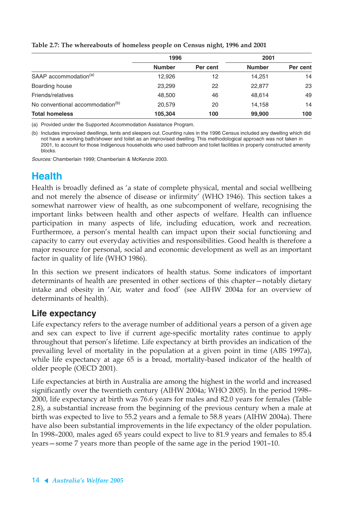|                                              | 1996          |          | 2001          |          |
|----------------------------------------------|---------------|----------|---------------|----------|
|                                              | <b>Number</b> | Per cent | <b>Number</b> | Per cent |
| SAAP accommodation <sup>(a)</sup>            | 12,926        | 12       | 14.251        | 14       |
| Boarding house                               | 23,299        | 22       | 22,877        | 23       |
| Friends/relatives                            | 48,500        | 46       | 48,614        | 49       |
| No conventional accommodation <sup>(b)</sup> | 20,579        | 20       | 14,158        | 14       |
| <b>Total homeless</b>                        | 105,304       | 100      | 99,900        | 100      |

**Table 2.7: The whereabouts of homeless people on Census night, 1996 and 2001**

(a) Provided under the Supported Accommodation Assistance Program.

(b) Includes improvised dwellings, tents and sleepers out. Counting rules in the 1996 Census included any dwelling which did not have a working bath/shower and toilet as an improvised dwelling. This methodological approach was not taken in 2001, to account for those Indigenous households who used bathroom and toilet facilities in properly constructed amenity blocks.

Sources: Chamberlain 1999; Chamberlain & McKenzie 2003.

## **Health**

Health is broadly defined as 'a state of complete physical, mental and social wellbeing and not merely the absence of disease or infirmity' (WHO 1946). This section takes a somewhat narrower view of health, as one subcomponent of welfare, recognising the important links between health and other aspects of welfare. Health can influence participation in many aspects of life, including education, work and recreation. Furthermore, a person's mental health can impact upon their social functioning and capacity to carry out everyday activities and responsibilities. Good health is therefore a major resource for personal, social and economic development as well as an important factor in quality of life (WHO 1986).

In this section we present indicators of health status. Some indicators of important determinants of health are presented in other sections of this chapter—notably dietary intake and obesity in 'Air, water and food' (see AIHW 2004a for an overview of determinants of health).

### **Life expectancy**

Life expectancy refers to the average number of additional years a person of a given age and sex can expect to live if current age-specific mortality rates continue to apply throughout that person's lifetime. Life expectancy at birth provides an indication of the prevailing level of mortality in the population at a given point in time (ABS 1997a), while life expectancy at age 65 is a broad, mortality-based indicator of the health of older people (OECD 2001).

Life expectancies at birth in Australia are among the highest in the world and increased significantly over the twentieth century (AIHW 2004a; WHO 2005). In the period 1998– 2000, life expectancy at birth was 76.6 years for males and 82.0 years for females (Table 2.8), a substantial increase from the beginning of the previous century when a male at birth was expected to live to 55.2 years and a female to 58.8 years (AIHW 2004a). There have also been substantial improvements in the life expectancy of the older population. In 1998–2000, males aged 65 years could expect to live to 81.9 years and females to 85.4 years—some 7 years more than people of the same age in the period 1901–10.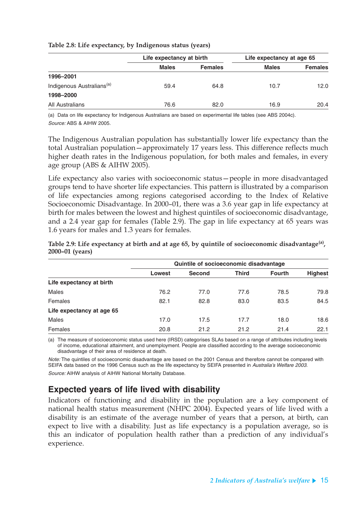| Table 2.8: Life expectancy, by Indigenous status (years) |  |  |  |  |
|----------------------------------------------------------|--|--|--|--|
|----------------------------------------------------------|--|--|--|--|

|                                       | Life expectancy at birth |                | Life expectancy at age 65 |                |
|---------------------------------------|--------------------------|----------------|---------------------------|----------------|
|                                       | <b>Males</b>             | <b>Females</b> | <b>Males</b>              | <b>Females</b> |
| 1996-2001                             |                          |                |                           |                |
| Indigenous Australians <sup>(a)</sup> | 59.4                     | 64.8           | 10.7                      | 12.0           |
| 1998-2000                             |                          |                |                           |                |
| All Australians                       | 76.6                     | 82.0           | 16.9                      | 20.4           |

(a) Data on life expectancy for Indigenous Australians are based on experimental life tables (see ABS 2004c). Source: ABS & AIHW 2005.

The Indigenous Australian population has substantially lower life expectancy than the total Australian population—approximately 17 years less. This difference reflects much higher death rates in the Indigenous population, for both males and females, in every age group (ABS & AIHW 2005).

Life expectancy also varies with socioeconomic status—people in more disadvantaged groups tend to have shorter life expectancies. This pattern is illustrated by a comparison of life expectancies among regions categorised according to the Index of Relative Socioeconomic Disadvantage. In 2000–01, there was a 3.6 year gap in life expectancy at birth for males between the lowest and highest quintiles of socioeconomic disadvantage, and a 2.4 year gap for females (Table 2.9). The gap in life expectancy at 65 years was 1.6 years for males and 1.3 years for females.

|                           | Quintile of socioeconomic disadvantage |               |              |               |                |
|---------------------------|----------------------------------------|---------------|--------------|---------------|----------------|
|                           | Lowest                                 | <b>Second</b> | <b>Third</b> | <b>Fourth</b> | <b>Highest</b> |
| Life expectancy at birth  |                                        |               |              |               |                |
| <b>Males</b>              | 76.2                                   | 77.0          | 77.6         | 78.5          | 79.8           |
| Females                   | 82.1                                   | 82.8          | 83.0         | 83.5          | 84.5           |
| Life expectancy at age 65 |                                        |               |              |               |                |
| <b>Males</b>              | 17.0                                   | 17.5          | 17.7         | 18.0          | 18.6           |
| Females                   | 20.8                                   | 21.2          | 21.2         | 21.4          | 22.1           |

**Table 2.9: Life expectancy at birth and at age 65, by quintile of socioeconomic disadvantage(a), 2000–01 (years)**

(a) The measure of socioeconomic status used here (IRSD) categorises SLAs based on a range of attributes including levels of income, educational attainment, and unemployment. People are classified according to the average socioeconomic disadvantage of their area of residence at death.

Note: The quintiles of socioeconomic disadvantage are based on the 2001 Census and therefore cannot be compared with SEIFA data based on the 1996 Census such as the life expectancy by SEIFA presented in Australia's Welfare 2003. Source: AIHW analysis of AIHW National Mortality Database.

### **Expected years of life lived with disability**

Indicators of functioning and disability in the population are a key component of national health status measurement (NHPC 2004). Expected years of life lived with a disability is an estimate of the average number of years that a person, at birth, can expect to live with a disability. Just as life expectancy is a population average, so is this an indicator of population health rather than a prediction of any individual's experience.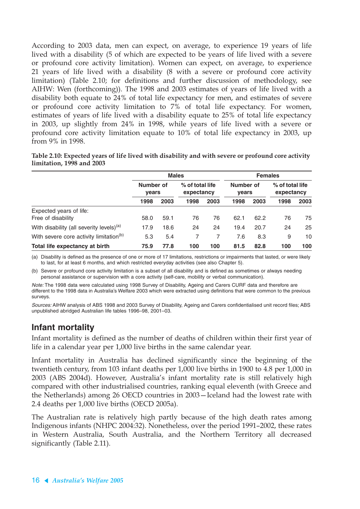According to 2003 data, men can expect, on average, to experience 19 years of life lived with a disability (5 of which are expected to be years of life lived with a severe or profound core activity limitation). Women can expect, on average, to experience 21 years of life lived with a disability (8 with a severe or profound core activity limitation) (Table 2.10; for definitions and further discussion of methodology, see AIHW: Wen (forthcoming)). The 1998 and 2003 estimates of years of life lived with a disability both equate to 24% of total life expectancy for men, and estimates of severe or profound core activity limitation to 7% of total life expectancy. For women, estimates of years of life lived with a disability equate to 25% of total life expectancy in 2003, up slightly from 24% in 1998, while years of life lived with a severe or profound core activity limitation equate to 10% of total life expectancy in 2003, up from 9% in 1998.

|                           | Table 2.10: Expected years of life lived with disability and with severe or profound core activity |  |  |
|---------------------------|----------------------------------------------------------------------------------------------------|--|--|
| limitation, 1998 and 2003 |                                                                                                    |  |  |

|                                                      |                           | <b>Males</b> |                               | <b>Females</b> |                           |      |                               |      |
|------------------------------------------------------|---------------------------|--------------|-------------------------------|----------------|---------------------------|------|-------------------------------|------|
|                                                      | Number of<br><b>vears</b> |              | % of total life<br>expectancy |                | Number of<br><b>vears</b> |      | % of total life<br>expectancy |      |
|                                                      | 1998                      | 2003         | 1998                          | 2003           | 1998                      | 2003 | 1998                          | 2003 |
| Expected years of life:                              |                           |              |                               |                |                           |      |                               |      |
| Free of disability                                   | 58.0                      | 59.1         | 76                            | 76             | 62.1                      | 62.2 | 76                            | 75   |
| With disability (all severity levels) <sup>(a)</sup> | 17.9                      | 18.6         | 24                            | 24             | 19.4                      | 20.7 | 24                            | 25   |
| With severe core activity limitation <sup>(b)</sup>  | 5.3                       | 5.4          |                               |                | 7.6                       | 8.3  | 9                             | 10   |
| Total life expectancy at birth                       | 75.9                      | 77.8         | 100                           | 100            | 81.5                      | 82.8 | 100                           | 100  |

(a) Disability is defined as the presence of one or more of 17 limitations, restrictions or impairments that lasted, or were likely to last, for at least 6 months, and which restricted everyday activities (see also Chapter 5).

(b) Severe or profound core activity limitation is a subset of all disability and is defined as sometimes or always needing personal assistance or supervision with a core activity (self-care, mobility or verbal communication).

Note: The 1998 data were calculated using 1998 Survey of Disability, Ageing and Carers CURF data and therefore are different to the 1998 data in Australia's Welfare 2003 which were extracted using definitions that were common to the previous surveys.

Sources: AIHW analysis of ABS 1998 and 2003 Survey of Disability, Ageing and Carers confidentialised unit record files; ABS unpublished abridged Australian life tables 1996–98, 2001–03.

### **Infant mortality**

Infant mortality is defined as the number of deaths of children within their first year of life in a calendar year per 1,000 live births in the same calendar year.

Infant mortality in Australia has declined significantly since the beginning of the twentieth century, from 103 infant deaths per 1,000 live births in 1900 to 4.8 per 1,000 in 2003 (ABS 2004d). However, Australia's infant mortality rate is still relatively high compared with other industrialised countries, ranking equal eleventh (with Greece and the Netherlands) among 26 OECD countries in 2003—Iceland had the lowest rate with 2.4 deaths per 1,000 live births (OECD 2005a).

The Australian rate is relatively high partly because of the high death rates among Indigenous infants (NHPC 2004:32). Nonetheless, over the period 1991–2002, these rates in Western Australia, South Australia, and the Northern Territory all decreased significantly (Table 2.11).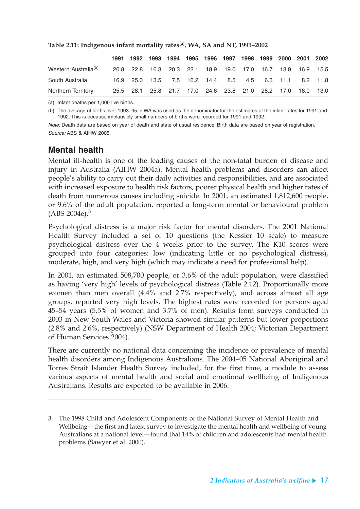|                                  | 1991 1992 1993 1994 1995 1996 1997 1998 1999 2000 2001 2002 |  |  |  |  |  |
|----------------------------------|-------------------------------------------------------------|--|--|--|--|--|
| Western Australia <sup>(b)</sup> | 20.8 22.8 16.3 20.3 22.1 18.9 19.0 17.0 16.7 13.9 16.9 15.5 |  |  |  |  |  |
| South Australia                  | 16.9 25.0 13.5 7.5 16.2 14.4 8.5 4.5 6.3 11.1 8.2 11.8      |  |  |  |  |  |
| Northern Territory               | 25.5 28.1 25.8 21.7 17.0 24.6 23.8 21.0 28.2 17.0 16.0 13.0 |  |  |  |  |  |

**Table 2.11: Indigenous infant mortality rates(a), WA, SA and NT, 1991–2002**

(a) Infant deaths per 1,000 live births.

(b) The average of births over 1993–95 in WA was used as the denominator for the estimates of the infant rates for 1991 and 1992. This is because implausibly small numbers of births were recorded for 1991 and 1992.

Note: Death data are based on year of death and state of usual residence. Birth data are based on year of registration. Source: ABS & AIHW 2005.

### **Mental health**

Mental ill-health is one of the leading causes of the non-fatal burden of disease and injury in Australia (AIHW 2004a). Mental health problems and disorders can affect people's ability to carry out their daily activities and responsibilities, and are associated with increased exposure to health risk factors, poorer physical health and higher rates of death from numerous causes including suicide. In 2001, an estimated 1,812,600 people, or 9.6% of the adult population, reported a long-term mental or behavioural problem  $(ABS 2004e).<sup>3</sup>$ 

Psychological distress is a major risk factor for mental disorders. The 2001 National Health Survey included a set of 10 questions (the Kessler 10 scale) to measure psychological distress over the 4 weeks prior to the survey. The K10 scores were grouped into four categories: low (indicating little or no psychological distress), moderate, high, and very high (which may indicate a need for professional help).

In 2001, an estimated 508,700 people, or 3.6% of the adult population, were classified as having 'very high' levels of psychological distress (Table 2.12). Proportionally more women than men overall (4.4% and 2.7% respectively), and across almost all age groups, reported very high levels. The highest rates were recorded for persons aged 45–54 years (5.5% of women and 3.7% of men). Results from surveys conducted in 2003 in New South Wales and Victoria showed similar patterns but lower proportions (2.8% and 2.6%, respectively) (NSW Department of Health 2004; Victorian Department of Human Services 2004).

There are currently no national data concerning the incidence or prevalence of mental health disorders among Indigenous Australians. The 2004–05 National Aboriginal and Torres Strait Islander Health Survey included, for the first time, a module to assess various aspects of mental health and social and emotional wellbeing of Indigenous Australians. Results are expected to be available in 2006.

<sup>3.</sup> The 1998 Child and Adolescent Components of the National Survey of Mental Health and Wellbeing—the first and latest survey to investigate the mental health and wellbeing of young Australians at a national level—found that 14% of children and adolescents had mental health problems (Sawyer et al. 2000).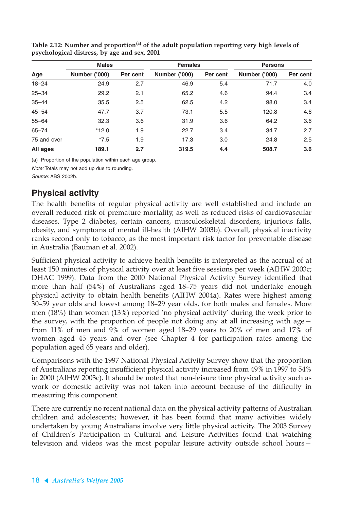|             | <b>Males</b>         |          | <b>Females</b>       |          | <b>Persons</b>       |          |  |
|-------------|----------------------|----------|----------------------|----------|----------------------|----------|--|
| Age         | <b>Number ('000)</b> | Per cent | <b>Number ('000)</b> | Per cent | <b>Number ('000)</b> | Per cent |  |
| $18 - 24$   | 24.9                 | 2.7      | 46.9                 | 5.4      | 71.7                 | 4.0      |  |
| $25 - 34$   | 29.2                 | 2.1      | 65.2                 | 4.6      | 94.4                 | 3.4      |  |
| $35 - 44$   | 35.5                 | 2.5      | 62.5                 | 4.2      | 98.0                 | 3.4      |  |
| $45 - 54$   | 47.7                 | 3.7      | 73.1                 | 5.5      | 120.8                | 4.6      |  |
| $55 - 64$   | 32.3                 | 3.6      | 31.9                 | 3.6      | 64.2                 | 3.6      |  |
| $65 - 74$   | $*12.0$              | 1.9      | 22.7                 | 3.4      | 34.7                 | 2.7      |  |
| 75 and over | $*7.5$               | 1.9      | 17.3                 | 3.0      | 24.8                 | 2.5      |  |
| All ages    | 189.1                | 2.7      | 319.5                | 4.4      | 508.7                | 3.6      |  |

Table 2.12: Number and proportion<sup>(a)</sup> of the adult population reporting very high levels of **psychological distress, by age and sex, 2001**

(a) Proportion of the population within each age group.

Note: Totals may not add up due to rounding.

Source: ABS 2002b.

### **Physical activity**

The health benefits of regular physical activity are well established and include an overall reduced risk of premature mortality, as well as reduced risks of cardiovascular diseases, Type 2 diabetes, certain cancers, musculoskeletal disorders, injurious falls, obesity, and symptoms of mental ill-health (AIHW 2003b). Overall, physical inactivity ranks second only to tobacco, as the most important risk factor for preventable disease in Australia (Bauman et al. 2002).

Sufficient physical activity to achieve health benefits is interpreted as the accrual of at least 150 minutes of physical activity over at least five sessions per week (AIHW 2003c; DHAC 1999). Data from the 2000 National Physical Activity Survey identified that more than half (54%) of Australians aged 18–75 years did not undertake enough physical activity to obtain health benefits (AIHW 2004a). Rates were highest among 30–59 year olds and lowest among 18–29 year olds, for both males and females. More men (18%) than women (13%) reported 'no physical activity' during the week prior to the survey, with the proportion of people not doing any at all increasing with age from 11% of men and 9% of women aged 18–29 years to 20% of men and 17% of women aged 45 years and over (see Chapter 4 for participation rates among the population aged 65 years and older).

Comparisons with the 1997 National Physical Activity Survey show that the proportion of Australians reporting insufficient physical activity increased from 49% in 1997 to 54% in 2000 (AIHW 2003c). It should be noted that non-leisure time physical activity such as work or domestic activity was not taken into account because of the difficulty in measuring this component.

There are currently no recent national data on the physical activity patterns of Australian children and adolescents; however, it has been found that many activities widely undertaken by young Australians involve very little physical activity. The 2003 Survey of Children's Participation in Cultural and Leisure Activities found that watching television and videos was the most popular leisure activity outside school hours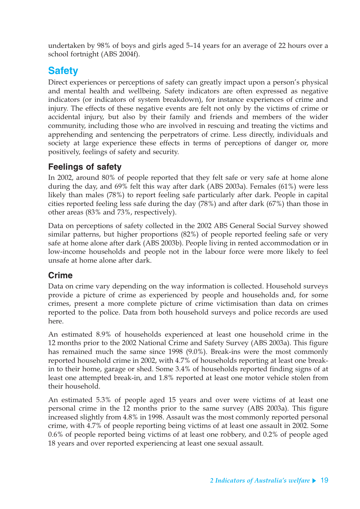undertaken by 98% of boys and girls aged 5–14 years for an average of 22 hours over a school fortnight (ABS 2004f).

## **Safety**

Direct experiences or perceptions of safety can greatly impact upon a person's physical and mental health and wellbeing. Safety indicators are often expressed as negative indicators (or indicators of system breakdown), for instance experiences of crime and injury. The effects of these negative events are felt not only by the victims of crime or accidental injury, but also by their family and friends and members of the wider community, including those who are involved in rescuing and treating the victims and apprehending and sentencing the perpetrators of crime. Less directly, individuals and society at large experience these effects in terms of perceptions of danger or, more positively, feelings of safety and security.

### **Feelings of safety**

In 2002, around 80% of people reported that they felt safe or very safe at home alone during the day, and 69% felt this way after dark (ABS 2003a). Females (61%) were less likely than males (78%) to report feeling safe particularly after dark. People in capital cities reported feeling less safe during the day (78%) and after dark (67%) than those in other areas (83% and 73%, respectively).

Data on perceptions of safety collected in the 2002 ABS General Social Survey showed similar patterns, but higher proportions (82%) of people reported feeling safe or very safe at home alone after dark (ABS 2003b). People living in rented accommodation or in low-income households and people not in the labour force were more likely to feel unsafe at home alone after dark.

### **Crime**

Data on crime vary depending on the way information is collected. Household surveys provide a picture of crime as experienced by people and households and, for some crimes, present a more complete picture of crime victimisation than data on crimes reported to the police. Data from both household surveys and police records are used here.

An estimated 8.9% of households experienced at least one household crime in the 12 months prior to the 2002 National Crime and Safety Survey (ABS 2003a). This figure has remained much the same since 1998 (9.0%). Break-ins were the most commonly reported household crime in 2002, with 4.7% of households reporting at least one breakin to their home, garage or shed. Some 3.4% of households reported finding signs of at least one attempted break-in, and 1.8% reported at least one motor vehicle stolen from their household.

An estimated 5.3% of people aged 15 years and over were victims of at least one personal crime in the 12 months prior to the same survey (ABS 2003a). This figure increased slightly from 4.8% in 1998. Assault was the most commonly reported personal crime, with 4.7% of people reporting being victims of at least one assault in 2002. Some 0.6% of people reported being victims of at least one robbery, and 0.2% of people aged 18 years and over reported experiencing at least one sexual assault.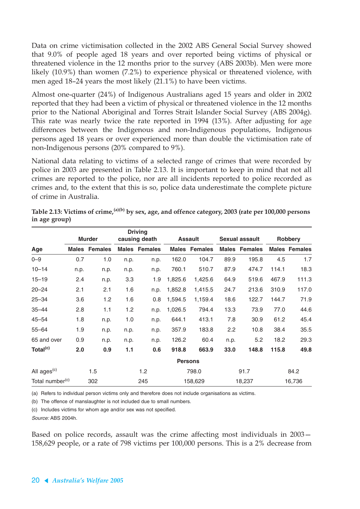Data on crime victimisation collected in the 2002 ABS General Social Survey showed that 9.0% of people aged 18 years and over reported being victims of physical or threatened violence in the 12 months prior to the survey (ABS 2003b). Men were more likely (10.9%) than women (7.2%) to experience physical or threatened violence, with men aged 18–24 years the most likely (21.1%) to have been victims.

Almost one-quarter (24%) of Indigenous Australians aged 15 years and older in 2002 reported that they had been a victim of physical or threatened violence in the 12 months prior to the National Aboriginal and Torres Strait Islander Social Survey (ABS 2004g). This rate was nearly twice the rate reported in 1994 (13%). After adjusting for age differences between the Indigenous and non-Indigenous populations, Indigenous persons aged 18 years or over experienced more than double the victimisation rate of non-Indigenous persons (20% compared to 9%).

National data relating to victims of a selected range of crimes that were recorded by police in 2003 are presented in Table 2.13. It is important to keep in mind that not all crimes are reported to the police, nor are all incidents reported to police recorded as crimes and, to the extent that this is so, police data underestimate the complete picture of crime in Australia.

|                             |       |                |      | <b>Driving</b>       |         |                      |      |                       |                |                      |
|-----------------------------|-------|----------------|------|----------------------|---------|----------------------|------|-----------------------|----------------|----------------------|
|                             |       | <b>Murder</b>  |      | causing death        |         | <b>Assault</b>       |      | <b>Sexual assault</b> | <b>Robbery</b> |                      |
| Age                         | Males | <b>Females</b> |      | <b>Males Females</b> |         | <b>Males Females</b> |      | <b>Males Females</b>  |                | <b>Males Females</b> |
| $0 - 9$                     | 0.7   | 1.0            | n.p. | n.p.                 | 162.0   | 104.7                | 89.9 | 195.8                 | 4.5            | 1.7                  |
| $10 - 14$                   | n.p.  | n.p.           | n.p. | n.p.                 | 760.1   | 510.7                | 87.9 | 474.7                 | 114.1          | 18.3                 |
| $15 - 19$                   | 2.4   | n.p.           | 3.3  | 1.9                  | 1,825.6 | 1,425.6              | 64.9 | 519.6                 | 467.9          | 111.3                |
| $20 - 24$                   | 2.1   | 2.1            | 1.6  | n.p.                 | 1,852.8 | 1,415.5              | 24.7 | 213.6                 | 310.9          | 117.0                |
| $25 - 34$                   | 3.6   | 1.2            | 1.6  | 0.8                  | 1,594.5 | 1,159.4              | 18.6 | 122.7                 | 144.7          | 71.9                 |
| $35 - 44$                   | 2.8   | 1.1            | 1.2  | n.p.                 | 1,026.5 | 794.4                | 13.3 | 73.9                  | 77.0           | 44.6                 |
| $45 - 54$                   | 1.8   | n.p.           | 1.0  | n.p.                 | 644.1   | 413.1                | 7.8  | 30.9                  | 61.2           | 45.4                 |
| $55 - 64$                   | 1.9   | n.p.           | n.p. | n.p.                 | 357.9   | 183.8                | 2.2  | 10.8                  | 38.4           | 35.5                 |
| 65 and over                 | 0.9   | n.p.           | n.p. | n.p.                 | 126.2   | 60.4                 | n.p. | 5.2                   | 18.2           | 29.3                 |
| Total <sup>(c)</sup>        | 2.0   | 0.9            | 1.1  | 0.6                  | 918.8   | 663.9                | 33.0 | 148.8                 | 115.8          | 49.8                 |
|                             |       |                |      |                      |         | <b>Persons</b>       |      |                       |                |                      |
| All ages <sup>(c)</sup>     |       | 1.5            |      | 1.2                  | 798.0   |                      | 91.7 |                       | 84.2           |                      |
| Total number <sup>(c)</sup> |       | 302            |      | 245                  |         | 158,629              |      | 18,237                |                | 16,736               |

**Table 2.13: Victims of crime,(a)(b) by sex, age, and offence category, 2003 (rate per 100,000 persons in age group)**

(a) Refers to individual person victims only and therefore does not include organisations as victims.

(b) The offence of manslaughter is not included due to small numbers.

(c) Includes victims for whom age and/or sex was not specified.

Source: ABS 2004h.

Based on police records, assault was the crime affecting most individuals in 2003— 158,629 people, or a rate of 798 victims per 100,000 persons. This is a 2% decrease from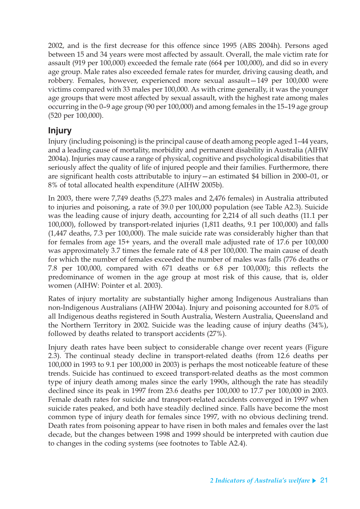2002, and is the first decrease for this offence since 1995 (ABS 2004h). Persons aged between 15 and 34 years were most affected by assault. Overall, the male victim rate for assault (919 per 100,000) exceeded the female rate (664 per 100,000), and did so in every age group. Male rates also exceeded female rates for murder, driving causing death, and robbery. Females, however, experienced more sexual assault—149 per 100,000 were victims compared with 33 males per 100,000. As with crime generally, it was the younger age groups that were most affected by sexual assault, with the highest rate among males occurring in the 0–9 age group (90 per 100,000) and among females in the 15–19 age group (520 per 100,000).

### **Injury**

Injury (including poisoning) is the principal cause of death among people aged 1–44 years, and a leading cause of mortality, morbidity and permanent disability in Australia (AIHW 2004a). Injuries may cause a range of physical, cognitive and psychological disabilities that seriously affect the quality of life of injured people and their families. Furthermore, there are significant health costs attributable to injury—an estimated \$4 billion in 2000–01, or 8% of total allocated health expenditure (AIHW 2005b).

In 2003, there were 7,749 deaths (5,273 males and 2,476 females) in Australia attributed to injuries and poisoning, a rate of 39.0 per 100,000 population (see Table A2.3). Suicide was the leading cause of injury death, accounting for 2,214 of all such deaths (11.1 per 100,000), followed by transport-related injuries (1,811 deaths, 9.1 per 100,000) and falls (1,447 deaths, 7.3 per 100,000). The male suicide rate was considerably higher than that for females from age 15+ years, and the overall male adjusted rate of 17.6 per 100,000 was approximately 3.7 times the female rate of 4.8 per 100,000. The main cause of death for which the number of females exceeded the number of males was falls (776 deaths or 7.8 per 100,000, compared with 671 deaths or 6.8 per 100,000); this reflects the predominance of women in the age group at most risk of this cause, that is, older women (AIHW: Pointer et al. 2003).

Rates of injury mortality are substantially higher among Indigenous Australians than non-Indigenous Australians (AIHW 2004a). Injury and poisoning accounted for 8.0% of all Indigenous deaths registered in South Australia, Western Australia, Queensland and the Northern Territory in 2002. Suicide was the leading cause of injury deaths (34%), followed by deaths related to transport accidents (27%).

Injury death rates have been subject to considerable change over recent years (Figure 2.3). The continual steady decline in transport-related deaths (from 12.6 deaths per 100,000 in 1993 to 9.1 per 100,000 in 2003) is perhaps the most noticeable feature of these trends. Suicide has continued to exceed transport-related deaths as the most common type of injury death among males since the early 1990s, although the rate has steadily declined since its peak in 1997 from 23.6 deaths per 100,000 to 17.7 per 100,000 in 2003. Female death rates for suicide and transport-related accidents converged in 1997 when suicide rates peaked, and both have steadily declined since. Falls have become the most common type of injury death for females since 1997, with no obvious declining trend. Death rates from poisoning appear to have risen in both males and females over the last decade, but the changes between 1998 and 1999 should be interpreted with caution due to changes in the coding systems (see footnotes to Table A2.4).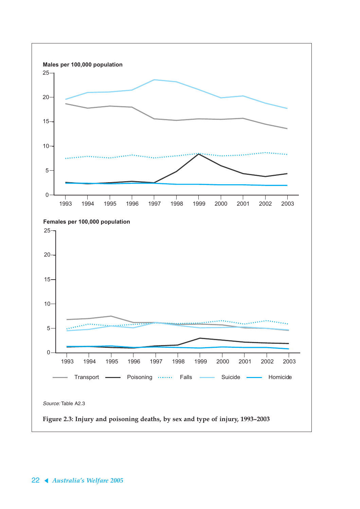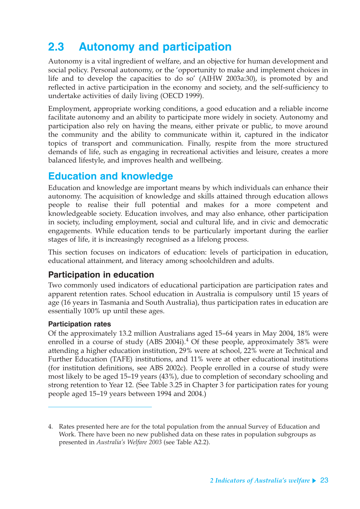# **2.3 Autonomy and participation**

Autonomy is a vital ingredient of welfare, and an objective for human development and social policy. Personal autonomy, or the 'opportunity to make and implement choices in life and to develop the capacities to do so' (AIHW 2003a:30), is promoted by and reflected in active participation in the economy and society, and the self-sufficiency to undertake activities of daily living (OECD 1999).

Employment, appropriate working conditions, a good education and a reliable income facilitate autonomy and an ability to participate more widely in society. Autonomy and participation also rely on having the means, either private or public, to move around the community and the ability to communicate within it, captured in the indicator topics of transport and communication. Finally, respite from the more structured demands of life, such as engaging in recreational activities and leisure, creates a more balanced lifestyle, and improves health and wellbeing.

## **Education and knowledge**

Education and knowledge are important means by which individuals can enhance their autonomy. The acquisition of knowledge and skills attained through education allows people to realise their full potential and makes for a more competent and knowledgeable society. Education involves, and may also enhance, other participation in society, including employment, social and cultural life, and in civic and democratic engagements. While education tends to be particularly important during the earlier stages of life, it is increasingly recognised as a lifelong process.

This section focuses on indicators of education: levels of participation in education, educational attainment, and literacy among schoolchildren and adults.

### **Participation in education**

Two commonly used indicators of educational participation are participation rates and apparent retention rates. School education in Australia is compulsory until 15 years of age (16 years in Tasmania and South Australia), thus participation rates in education are essentially 100% up until these ages.

#### **Participation rates**

Of the approximately 13.2 million Australians aged 15–64 years in May 2004, 18% were enrolled in a course of study (ABS 2004i). $<sup>4</sup>$  Of these people, approximately 38% were</sup> attending a higher education institution, 29% were at school, 22% were at Technical and Further Education (TAFE) institutions, and 11% were at other educational institutions (for institution definitions, see ABS 2002c). People enrolled in a course of study were most likely to be aged 15–19 years (43%), due to completion of secondary schooling and strong retention to Year 12. (See Table 3.25 in Chapter 3 for participation rates for young people aged 15–19 years between 1994 and 2004.)

<sup>4.</sup> Rates presented here are for the total population from the annual Survey of Education and Work. There have been no new published data on these rates in population subgroups as presented in *Australia's Welfare 2003* (see Table A2.2).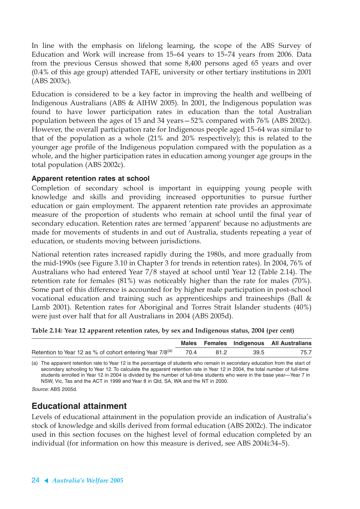In line with the emphasis on lifelong learning, the scope of the ABS Survey of Education and Work will increase from 15–64 years to 15–74 years from 2006. Data from the previous Census showed that some 8,400 persons aged 65 years and over (0.4% of this age group) attended TAFE, university or other tertiary institutions in 2001 (ABS 2003c).

Education is considered to be a key factor in improving the health and wellbeing of Indigenous Australians (ABS & AIHW 2005). In 2001, the Indigenous population was found to have lower participation rates in education than the total Australian population between the ages of 15 and 34 years—52% compared with 76% (ABS 2002c). However, the overall participation rate for Indigenous people aged 15–64 was similar to that of the population as a whole (21% and 20% respectively); this is related to the younger age profile of the Indigenous population compared with the population as a whole, and the higher participation rates in education among younger age groups in the total population (ABS 2002c).

#### **Apparent retention rates at school**

Completion of secondary school is important in equipping young people with knowledge and skills and providing increased opportunities to pursue further education or gain employment. The apparent retention rate provides an approximate measure of the proportion of students who remain at school until the final year of secondary education. Retention rates are termed 'apparent' because no adjustments are made for movements of students in and out of Australia, students repeating a year of education, or students moving between jurisdictions.

National retention rates increased rapidly during the 1980s, and more gradually from the mid-1990s (see Figure 3.10 in Chapter 3 for trends in retention rates). In 2004, 76% of Australians who had entered Year 7/8 stayed at school until Year 12 (Table 2.14). The retention rate for females (81%) was noticeably higher than the rate for males (70%). Some part of this difference is accounted for by higher male participation in post-school vocational education and training such as apprenticeships and traineeships (Ball & Lamb 2001). Retention rates for Aboriginal and Torres Strait Islander students (40%) were just over half that for all Australians in 2004 (ABS 2005d).

| Table 2.14: Year 12 apparent retention rates, by sex and Indigenous status, 2004 (per cent) |  |  |  |  |
|---------------------------------------------------------------------------------------------|--|--|--|--|
|---------------------------------------------------------------------------------------------|--|--|--|--|

|                                                                      |      |      |      | Males Females Indigenous All Australians |
|----------------------------------------------------------------------|------|------|------|------------------------------------------|
| Retention to Year 12 as % of cohort entering Year 7/8 <sup>(a)</sup> | 70.4 | 81.2 | 39.5 | 75.7                                     |

(a) The apparent retention rate to Year 12 is the percentage of students who remain in secondary education from the start of secondary schooling to Year 12. To calculate the apparent retention rate in Year 12 in 2004, the total number of full-time students enrolled in Year 12 in 2004 is divided by the number of full-time students who were in the base year-Year 7 in NSW, Vic, Tas and the ACT in 1999 and Year 8 in Qld, SA, WA and the NT in 2000.

Source: ABS 2005d.

### **Educational attainment**

Levels of educational attainment in the population provide an indication of Australia's stock of knowledge and skills derived from formal education (ABS 2002c). The indicator used in this section focuses on the highest level of formal education completed by an individual (for information on how this measure is derived, see ABS 2004i:34–5).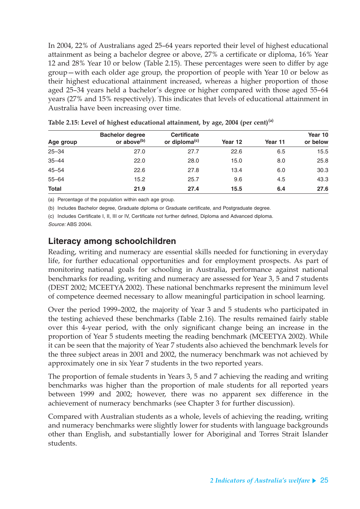In 2004, 22% of Australians aged 25–64 years reported their level of highest educational attainment as being a bachelor degree or above, 27% a certificate or diploma, 16% Year 12 and 28% Year 10 or below (Table 2.15). These percentages were seen to differ by age group—with each older age group, the proportion of people with Year 10 or below as their highest educational attainment increased, whereas a higher proportion of those aged 25–34 years held a bachelor's degree or higher compared with those aged 55–64 years (27% and 15% respectively). This indicates that levels of educational attainment in Australia have been increasing over time.

|              | <b>Bachelor degree</b>  | <b>Certificate</b>        |         |         | Year 10  |
|--------------|-------------------------|---------------------------|---------|---------|----------|
| Age group    | or above <sup>(b)</sup> | or diploma <sup>(c)</sup> | Year 12 | Year 11 | or below |
| $25 - 34$    | 27.0                    | 27.7                      | 22.6    | 6.5     | 15.5     |
| $35 - 44$    | 22.0                    | 28.0                      | 15.0    | 8.0     | 25.8     |
| $45 - 54$    | 22.6                    | 27.8                      | 13.4    | 6.0     | 30.3     |
| $55 - 64$    | 15.2                    | 25.7                      | 9.6     | 4.5     | 43.3     |
| <b>Total</b> | 21.9                    | 27.4                      | 15.5    | 6.4     | 27.6     |

**Table 2.15: Level of highest educational attainment, by age, 2004 (per cent)(a)**

(a) Percentage of the population within each age group.

(b) Includes Bachelor degree, Graduate diploma or Graduate certificate, and Postgraduate degree.

(c) Includes Certificate I, II, III or IV, Certificate not further defined, Diploma and Advanced diploma.

Source: ABS 2004i.

### **Literacy among schoolchildren**

Reading, writing and numeracy are essential skills needed for functioning in everyday life, for further educational opportunities and for employment prospects. As part of monitoring national goals for schooling in Australia, performance against national benchmarks for reading, writing and numeracy are assessed for Year 3, 5 and 7 students (DEST 2002; MCEETYA 2002). These national benchmarks represent the minimum level of competence deemed necessary to allow meaningful participation in school learning.

Over the period 1999–2002, the majority of Year 3 and 5 students who participated in the testing achieved these benchmarks (Table 2.16). The results remained fairly stable over this 4-year period, with the only significant change being an increase in the proportion of Year 5 students meeting the reading benchmark (MCEETYA 2002). While it can be seen that the majority of Year 7 students also achieved the benchmark levels for the three subject areas in 2001 and 2002, the numeracy benchmark was not achieved by approximately one in six Year 7 students in the two reported years.

The proportion of female students in Years 3, 5 and 7 achieving the reading and writing benchmarks was higher than the proportion of male students for all reported years between 1999 and 2002; however, there was no apparent sex difference in the achievement of numeracy benchmarks (see Chapter 3 for further discussion).

Compared with Australian students as a whole, levels of achieving the reading, writing and numeracy benchmarks were slightly lower for students with language backgrounds other than English, and substantially lower for Aboriginal and Torres Strait Islander students.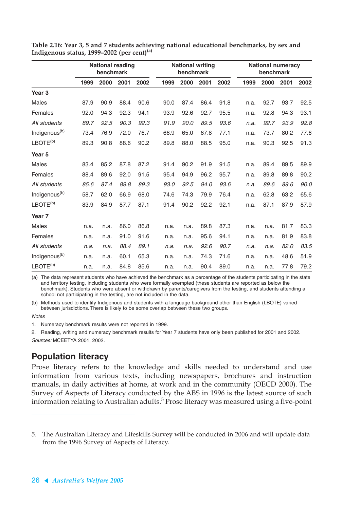|                           | <b>National reading</b><br>benchmark |      |      |      | <b>National writing</b><br>benchmark |      |      |      | <b>National numeracy</b><br>benchmark |      |      |      |
|---------------------------|--------------------------------------|------|------|------|--------------------------------------|------|------|------|---------------------------------------|------|------|------|
|                           | 1999                                 | 2000 | 2001 | 2002 | 1999                                 | 2000 | 2001 | 2002 | 1999                                  | 2000 | 2001 | 2002 |
| Year <sub>3</sub>         |                                      |      |      |      |                                      |      |      |      |                                       |      |      |      |
| <b>Males</b>              | 87.9                                 | 90.9 | 88.4 | 90.6 | 90.0                                 | 87.4 | 86.4 | 91.8 | n.a.                                  | 92.7 | 93.7 | 92.5 |
| Females                   | 92.0                                 | 94.3 | 92.3 | 94.1 | 93.9                                 | 92.6 | 92.7 | 95.5 | n.a.                                  | 92.8 | 94.3 | 93.1 |
| All students              | 89.7                                 | 92.5 | 90.3 | 92.3 | 91.9                                 | 90.0 | 89.5 | 93.6 | n.a.                                  | 92.7 | 93.9 | 92.8 |
| Indigenous <sup>(b)</sup> | 73.4                                 | 76.9 | 72.0 | 76.7 | 66.9                                 | 65.0 | 67.8 | 77.1 | n.a.                                  | 73.7 | 80.2 | 77.6 |
| LBOTE <sup>(b)</sup>      | 89.3                                 | 90.8 | 88.6 | 90.2 | 89.8                                 | 88.0 | 88.5 | 95.0 | n.a.                                  | 90.3 | 92.5 | 91.3 |
| Year <sub>5</sub>         |                                      |      |      |      |                                      |      |      |      |                                       |      |      |      |
| <b>Males</b>              | 83.4                                 | 85.2 | 87.8 | 87.2 | 91.4                                 | 90.2 | 91.9 | 91.5 | n.a.                                  | 89.4 | 89.5 | 89.9 |
| Females                   | 88.4                                 | 89.6 | 92.0 | 91.5 | 95.4                                 | 94.9 | 96.2 | 95.7 | n.a.                                  | 89.8 | 89.8 | 90.2 |
| All students              | 85.6                                 | 87.4 | 89.8 | 89.3 | 93.0                                 | 92.5 | 94.0 | 93.6 | n.a.                                  | 89.6 | 89.6 | 90.0 |
| Indigenous <sup>(b)</sup> | 58.7                                 | 62.0 | 66.9 | 68.0 | 74.6                                 | 74.3 | 79.9 | 76.4 | n.a.                                  | 62.8 | 63.2 | 65.6 |
| LBOTE <sup>(b)</sup>      | 83.9                                 | 84.9 | 87.7 | 87.1 | 91.4                                 | 90.2 | 92.2 | 92.1 | n.a.                                  | 87.1 | 87.9 | 87.9 |
| Year <sub>7</sub>         |                                      |      |      |      |                                      |      |      |      |                                       |      |      |      |
| <b>Males</b>              | n.a.                                 | n.a. | 86.0 | 86.8 | n.a.                                 | n.a. | 89.8 | 87.3 | n.a.                                  | n.a. | 81.7 | 83.3 |
| Females                   | n.a.                                 | n.a. | 91.0 | 91.6 | n.a.                                 | n.a. | 95.6 | 94.1 | n.a.                                  | n.a. | 81.9 | 83.8 |
| All students              | n.a.                                 | n.a. | 88.4 | 89.1 | n.a.                                 | n.a. | 92.6 | 90.7 | n.a.                                  | n.a. | 82.0 | 83.5 |
| Indigenous <sup>(b)</sup> | n.a.                                 | n.a. | 60.1 | 65.3 | n.a.                                 | n.a. | 74.3 | 71.6 | n.a.                                  | n.a. | 48.6 | 51.9 |
| LBOTE <sup>(b)</sup>      | n.a.                                 | n.a. | 84.8 | 85.6 | n.a.                                 | n.a. | 90.4 | 89.0 | n.a.                                  | n.a. | 77.8 | 79.2 |

**Table 2.16: Year 3, 5 and 7 students achieving national educational benchmarks, by sex and Indigenous status, 1999–2002 (per cent)(a)**

(a) The data represent students who have achieved the benchmark as a percentage of the students participating in the state and territory testing, including students who were formally exempted (these students are reported as below the benchmark). Students who were absent or withdrawn by parents/caregivers from the testing, and students attending a school not participating in the testing, are not included in the data.

(b) Methods used to identify Indigenous and students with a language background other than English (LBOTE) varied between jurisdictions. There is likely to be some overlap between these two groups.

#### **Notes**

1. Numeracy benchmark results were not reported in 1999.

2. Reading, writing and numeracy benchmark results for Year 7 students have only been published for 2001 and 2002. Sources: MCEETYA 2001, 2002.

### **Population literacy**

Prose literacy refers to the knowledge and skills needed to understand and use information from various texts, including newspapers, brochures and instruction manuals, in daily activities at home, at work and in the community (OECD 2000). The Survey of Aspects of Literacy conducted by the ABS in 1996 is the latest source of such information relating to Australian adults. $^5$  Prose literacy was measured using a five-point

<sup>5.</sup> The Australian Literacy and Lifeskills Survey will be conducted in 2006 and will update data from the 1996 Survey of Aspects of Literacy.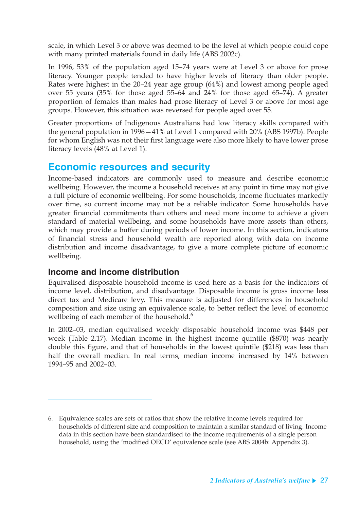scale, in which Level 3 or above was deemed to be the level at which people could cope with many printed materials found in daily life (ABS 2002c).

In 1996, 53% of the population aged 15–74 years were at Level 3 or above for prose literacy. Younger people tended to have higher levels of literacy than older people. Rates were highest in the 20–24 year age group (64%) and lowest among people aged over 55 years (35% for those aged 55–64 and 24% for those aged 65–74). A greater proportion of females than males had prose literacy of Level 3 or above for most age groups. However, this situation was reversed for people aged over 55.

Greater proportions of Indigenous Australians had low literacy skills compared with the general population in 1996—41% at Level 1 compared with 20% (ABS 1997b). People for whom English was not their first language were also more likely to have lower prose literacy levels (48% at Level 1).

### **Economic resources and security**

Income-based indicators are commonly used to measure and describe economic wellbeing. However, the income a household receives at any point in time may not give a full picture of economic wellbeing. For some households, income fluctuates markedly over time, so current income may not be a reliable indicator. Some households have greater financial commitments than others and need more income to achieve a given standard of material wellbeing, and some households have more assets than others, which may provide a buffer during periods of lower income. In this section, indicators of financial stress and household wealth are reported along with data on income distribution and income disadvantage, to give a more complete picture of economic wellbeing.

### **Income and income distribution**

Equivalised disposable household income is used here as a basis for the indicators of income level, distribution, and disadvantage. Disposable income is gross income less direct tax and Medicare levy. This measure is adjusted for differences in household composition and size using an equivalence scale, to better reflect the level of economic wellbeing of each member of the household.<sup>6</sup>

In 2002–03, median equivalised weekly disposable household income was \$448 per week (Table 2.17). Median income in the highest income quintile (\$870) was nearly double this figure, and that of households in the lowest quintile (\$218) was less than half the overall median. In real terms, median income increased by 14% between 1994–95 and 2002–03.

<sup>6.</sup> Equivalence scales are sets of ratios that show the relative income levels required for households of different size and composition to maintain a similar standard of living. Income data in this section have been standardised to the income requirements of a single person household, using the 'modified OECD' equivalence scale (see ABS 2004b: Appendix 3).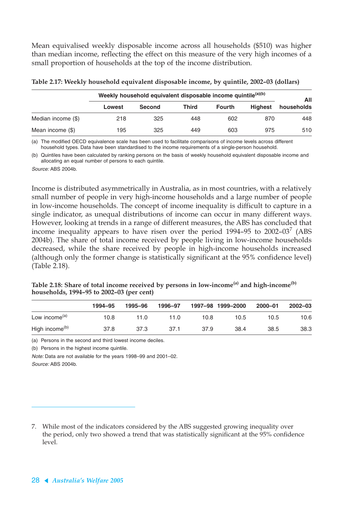Mean equivalised weekly disposable income across all households (\$510) was higher than median income, reflecting the effect on this measure of the very high incomes of a small proportion of households at the top of the income distribution.

|                    | Weekly household equivalent disposable income quintile <sup>(a)(b)</sup> | All           |              |               |                |            |
|--------------------|--------------------------------------------------------------------------|---------------|--------------|---------------|----------------|------------|
|                    | Lowest                                                                   | <b>Second</b> | <b>Third</b> | <b>Fourth</b> | <b>Highest</b> | households |
| Median income (\$) | 218                                                                      | 325           | 448          | 602           | 870            | 448        |
| Mean income (\$)   | 195                                                                      | 325           | 449          | 603           | 975            | 510        |

(a) The modified OECD equivalence scale has been used to facilitate comparisons of income levels across different household types. Data have been standardised to the income requirements of a single-person household.

(b) Quintiles have been calculated by ranking persons on the basis of weekly household equivalent disposable income and allocating an equal number of persons to each quintile.

Source: ABS 2004b.

Income is distributed asymmetrically in Australia, as in most countries, with a relatively small number of people in very high-income households and a large number of people in low-income households. The concept of income inequality is difficult to capture in a single indicator, as unequal distributions of income can occur in many different ways. However, looking at trends in a range of different measures, the ABS has concluded that income inequality appears to have risen over the period 1994–95 to 2002–03 $^7$  (ABS 2004b). The share of total income received by people living in low-income households decreased, while the share received by people in high-income households increased (although only the former change is statistically significant at the 95% confidence level) (Table 2.18).

| Table 2.18: Share of total income received by persons in low-income <sup>(a)</sup> and high-income <sup>(b)</sup> |  |
|-------------------------------------------------------------------------------------------------------------------|--|
| households, 1994–95 to 2002–03 (per cent)                                                                         |  |

|                            | 1994-95 | 1995-96 | 1996-97 |      | 1997-98 1999-2000 | 2000-01 | 2002-03 |
|----------------------------|---------|---------|---------|------|-------------------|---------|---------|
| Low income <sup>(a)</sup>  | 10.8    | 11.0    | 11.0    | 10.8 | 10.5              | 10.5    | 10.6    |
| High income <sup>(b)</sup> | 37.8    | 37.3    | 37.1    | 37.9 | 38.4              | 38.5    | 38.3    |

(a) Persons in the second and third lowest income deciles.

(b) Persons in the highest income quintile.

Note: Data are not available for the years 1998–99 and 2001–02. Source: ABS 2004b.

<sup>7.</sup> While most of the indicators considered by the ABS suggested growing inequality over the period, only two showed a trend that was statistically significant at the 95% confidence level.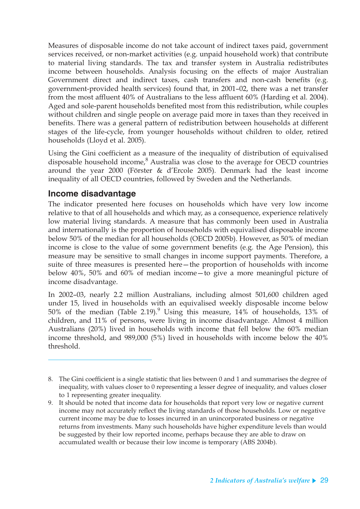Measures of disposable income do not take account of indirect taxes paid, government services received, or non-market activities (e.g. unpaid household work) that contribute to material living standards. The tax and transfer system in Australia redistributes income between households. Analysis focusing on the effects of major Australian Government direct and indirect taxes, cash transfers and non-cash benefits (e.g. government-provided health services) found that, in 2001–02, there was a net transfer from the most affluent 40% of Australians to the less affluent 60% (Harding et al. 2004). Aged and sole-parent households benefited most from this redistribution, while couples without children and single people on average paid more in taxes than they received in benefits. There was a general pattern of redistribution between households at different stages of the life-cycle, from younger households without children to older, retired households (Lloyd et al. 2005).

Using the Gini coefficient as a measure of the inequality of distribution of equivalised disposable household income, ${}^{8}$  Australia was close to the average for OECD countries around the year 2000 (Förster & d'Ercole 2005). Denmark had the least income inequality of all OECD countries, followed by Sweden and the Netherlands.

### **Income disadvantage**

The indicator presented here focuses on households which have very low income relative to that of all households and which may, as a consequence, experience relatively low material living standards. A measure that has commonly been used in Australia and internationally is the proportion of households with equivalised disposable income below 50% of the median for all households (OECD 2005b). However, as 50% of median income is close to the value of some government benefits (e.g. the Age Pension), this measure may be sensitive to small changes in income support payments. Therefore, a suite of three measures is presented here—the proportion of households with income below 40%, 50% and 60% of median income—to give a more meaningful picture of income disadvantage.

In 2002–03, nearly 2.2 million Australians, including almost 501,600 children aged under 15, lived in households with an equivalised weekly disposable income below 50% of the median (Table 2.19). $^9$  Using this measure, 14% of households, 13% of children, and 11% of persons, were living in income disadvantage. Almost 4 million Australians (20%) lived in households with income that fell below the 60% median income threshold, and 989,000 (5%) lived in households with income below the 40% threshold.

<sup>8.</sup> The Gini coefficient is a single statistic that lies between 0 and 1 and summarises the degree of inequality, with values closer to 0 representing a lesser degree of inequality, and values closer to 1 representing greater inequality.

<sup>9.</sup> It should be noted that income data for households that report very low or negative current income may not accurately reflect the living standards of those households. Low or negative current income may be due to losses incurred in an unincorporated business or negative returns from investments. Many such households have higher expenditure levels than would be suggested by their low reported income, perhaps because they are able to draw on accumulated wealth or because their low income is temporary (ABS 2004b).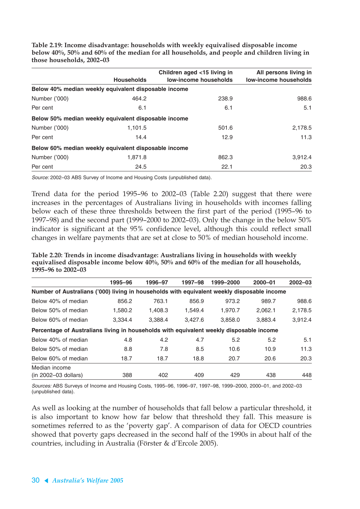**Table 2.19: Income disadvantage: households with weekly equivalised disposable income below 40%, 50% and 60% of the median for all households, and people and children living in those households, 2002–03**

|               |                                                      | Children aged <15 living in  | All persons living in        |
|---------------|------------------------------------------------------|------------------------------|------------------------------|
|               | <b>Households</b>                                    | <b>low-income households</b> | <b>low-income households</b> |
|               | Below 40% median weekly equivalent disposable income |                              |                              |
| Number ('000) | 464.2                                                | 238.9                        | 988.6                        |
| Per cent      | 6.1                                                  | 6.1                          | 5.1                          |
|               | Below 50% median weekly equivalent disposable income |                              |                              |
| Number ('000) | 1,101.5                                              | 501.6                        | 2,178.5                      |
| Per cent      | 14.4                                                 | 12.9                         | 11.3                         |
|               | Below 60% median weekly equivalent disposable income |                              |                              |
| Number ('000) | 1,871.8                                              | 862.3                        | 3,912.4                      |
| Per cent      | 24.5                                                 | 22.1                         | 20.3                         |

Source: 2002–03 ABS Survey of Income and Housing Costs (unpublished data).

Trend data for the period 1995–96 to 2002–03 (Table 2.20) suggest that there were increases in the percentages of Australians living in households with incomes falling below each of these three thresholds between the first part of the period (1995–96 to 1997–98) and the second part (1999–2000 to 2002–03). Only the change in the below 50% indicator is significant at the 95% confidence level, although this could reflect small changes in welfare payments that are set at close to 50% of median household income.

**Table 2.20: Trends in income disadvantage: Australians living in households with weekly equivalised disposable income below 40%, 50% and 60% of the median for all households, 1995–96 to 2002–03**

|                                                                                            | 1995-96 | 1996-97 | 1997–98 | 1999-2000 | $2000 - 01$ | $2002 - 03$ |
|--------------------------------------------------------------------------------------------|---------|---------|---------|-----------|-------------|-------------|
| Number of Australians ('000) living in households with equivalent weekly disposable income |         |         |         |           |             |             |
| Below 40% of median                                                                        | 856.2   | 763.1   | 856.9   | 973.2     | 989.7       | 988.6       |
| Below 50% of median                                                                        | 1.580.2 | 1.408.3 | 1.549.4 | 1.970.7   | 2.062.1     | 2,178.5     |
| Below 60% of median                                                                        | 3.334.4 | 3.388.4 | 3.427.6 | 3.858.0   | 3.883.4     | 3.912.4     |
| Percentage of Australians living in households with equivalent weekly disposable income    |         |         |         |           |             |             |
| Below 40% of median                                                                        | 4.8     | 4.2     | 4.7     | 5.2       | 5.2         | 5.1         |
| Below 50% of median                                                                        | 8.8     | 7.8     | 8.5     | 10.6      | 10.9        | 11.3        |
| Below 60% of median                                                                        | 18.7    | 18.7    | 18.8    | 20.7      | 20.6        | 20.3        |
| Median income                                                                              |         |         |         |           |             |             |
| $(in 2002–03$ dollars)                                                                     | 388     | 402     | 409     | 429       | 438         | 448         |

Sources: ABS Surveys of Income and Housing Costs, 1995–96, 1996–97, 1997–98, 1999–2000, 2000–01, and 2002–03 (unpublished data).

As well as looking at the number of households that fall below a particular threshold, it is also important to know how far below that threshold they fall. This measure is sometimes referred to as the 'poverty gap'. A comparison of data for OECD countries showed that poverty gaps decreased in the second half of the 1990s in about half of the countries, including in Australia (Förster & d'Ercole 2005).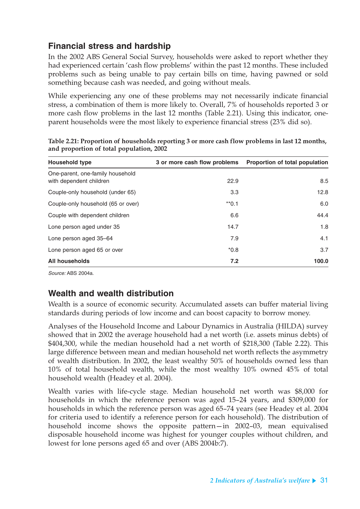## **Financial stress and hardship**

In the 2002 ABS General Social Survey, households were asked to report whether they had experienced certain 'cash flow problems' within the past 12 months. These included problems such as being unable to pay certain bills on time, having pawned or sold something because cash was needed, and going without meals.

While experiencing any one of these problems may not necessarily indicate financial stress, a combination of them is more likely to. Overall, 7% of households reported 3 or more cash flow problems in the last 12 months (Table 2.21). Using this indicator, oneparent households were the most likely to experience financial stress (23% did so).

| <b>Household type</b>                                       | 3 or more cash flow problems | Proportion of total population |
|-------------------------------------------------------------|------------------------------|--------------------------------|
| One-parent, one-family household<br>with dependent children | 22.9                         | 8.5                            |
| Couple-only household (under 65)                            | 3.3                          | 12.8                           |
| Couple-only household (65 or over)                          | $*$ <sup>0.1</sup>           | 6.0                            |
| Couple with dependent children                              | 6.6                          | 44.4                           |
| Lone person aged under 35                                   | 14.7                         | 1.8                            |
| Lone person aged 35–64                                      | 7.9                          | 4.1                            |
| Lone person aged 65 or over                                 | $*0.8$                       | 3.7                            |
| <b>All households</b>                                       | 7.2                          | 100.0                          |

**Table 2.21: Proportion of households reporting 3 or more cash flow problems in last 12 months, and proportion of total population, 2002**

Source: ABS 2004a.

### **Wealth and wealth distribution**

Wealth is a source of economic security. Accumulated assets can buffer material living standards during periods of low income and can boost capacity to borrow money.

Analyses of the Household Income and Labour Dynamics in Australia (HILDA) survey showed that in 2002 the average household had a net worth (i.e. assets minus debts) of \$404,300, while the median household had a net worth of \$218,300 (Table 2.22). This large difference between mean and median household net worth reflects the asymmetry of wealth distribution. In 2002, the least wealthy 50% of households owned less than 10% of total household wealth, while the most wealthy 10% owned 45% of total household wealth (Headey et al. 2004).

Wealth varies with life-cycle stage. Median household net worth was \$8,000 for households in which the reference person was aged 15–24 years, and \$309,000 for households in which the reference person was aged 65–74 years (see Headey et al. 2004 for criteria used to identify a reference person for each household). The distribution of household income shows the opposite pattern—in 2002–03, mean equivalised disposable household income was highest for younger couples without children, and lowest for lone persons aged 65 and over (ABS 2004b:7).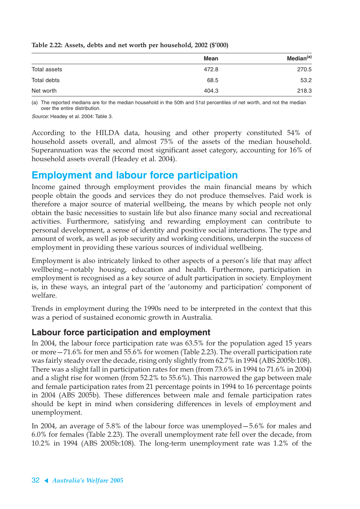|              | <b>Mean</b> | Median <sup>(a)</sup> |
|--------------|-------------|-----------------------|
| Total assets | 472.8       | 270.5                 |
| Total debts  | 68.5        | 53.2                  |
| Net worth    | 404.3       | 218.3                 |

**Table 2.22: Assets, debts and net worth per household, 2002 (\$'000)**

(a) The reported medians are for the median household in the 50th and 51st percentiles of net worth, and not the median over the entire distribution.

Source: Headey et al. 2004: Table 3.

According to the HILDA data, housing and other property constituted 54% of household assets overall, and almost 75% of the assets of the median household. Superannuation was the second most significant asset category, accounting for 16% of household assets overall (Headey et al. 2004).

## **Employment and labour force participation**

Income gained through employment provides the main financial means by which people obtain the goods and services they do not produce themselves. Paid work is therefore a major source of material wellbeing, the means by which people not only obtain the basic necessities to sustain life but also finance many social and recreational activities. Furthermore, satisfying and rewarding employment can contribute to personal development, a sense of identity and positive social interactions. The type and amount of work, as well as job security and working conditions, underpin the success of employment in providing these various sources of individual wellbeing.

Employment is also intricately linked to other aspects of a person's life that may affect wellbeing—notably housing, education and health. Furthermore, participation in employment is recognised as a key source of adult participation in society. Employment is, in these ways, an integral part of the 'autonomy and participation' component of welfare.

Trends in employment during the 1990s need to be interpreted in the context that this was a period of sustained economic growth in Australia.

### **Labour force participation and employment**

In 2004, the labour force participation rate was 63.5% for the population aged 15 years or more—71.6% for men and 55.6% for women (Table 2.23). The overall participation rate was fairly steady over the decade, rising only slightly from 62.7% in 1994 (ABS 2005b:108). There was a slight fall in participation rates for men (from 73.6% in 1994 to 71.6% in 2004) and a slight rise for women (from 52.2% to 55.6%). This narrowed the gap between male and female participation rates from 21 percentage points in 1994 to 16 percentage points in 2004 (ABS 2005b). These differences between male and female participation rates should be kept in mind when considering differences in levels of employment and unemployment.

In 2004, an average of 5.8% of the labour force was unemployed—5.6% for males and 6.0% for females (Table 2.23). The overall unemployment rate fell over the decade, from 10.2% in 1994 (ABS 2005b:108). The long-term unemployment rate was 1.2% of the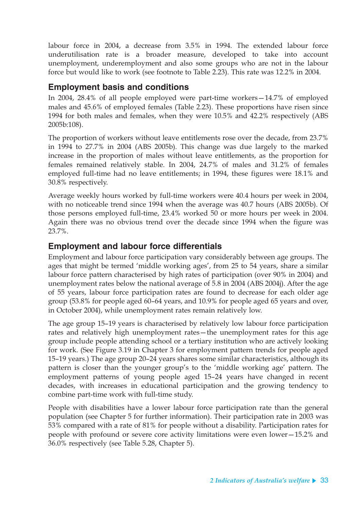labour force in 2004, a decrease from 3.5% in 1994. The extended labour force underutilisation rate is a broader measure, developed to take into account unemployment, underemployment and also some groups who are not in the labour force but would like to work (see footnote to Table 2.23). This rate was 12.2% in 2004.

### **Employment basis and conditions**

In 2004, 28.4% of all people employed were part-time workers—14.7% of employed males and 45.6% of employed females (Table 2.23). These proportions have risen since 1994 for both males and females, when they were 10.5% and 42.2% respectively (ABS 2005b:108).

The proportion of workers without leave entitlements rose over the decade, from 23.7% in 1994 to 27.7% in 2004 (ABS 2005b). This change was due largely to the marked increase in the proportion of males without leave entitlements, as the proportion for females remained relatively stable. In 2004, 24.7% of males and 31.2% of females employed full-time had no leave entitlements; in 1994, these figures were 18.1% and 30.8% respectively.

Average weekly hours worked by full-time workers were 40.4 hours per week in 2004, with no noticeable trend since 1994 when the average was 40.7 hours (ABS 2005b). Of those persons employed full-time, 23.4% worked 50 or more hours per week in 2004. Again there was no obvious trend over the decade since 1994 when the figure was 23.7%.

### **Employment and labour force differentials**

Employment and labour force participation vary considerably between age groups. The ages that might be termed 'middle working ages', from 25 to 54 years, share a similar labour force pattern characterised by high rates of participation (over 90% in 2004) and unemployment rates below the national average of 5.8 in 2004 (ABS 2004j). After the age of 55 years, labour force participation rates are found to decrease for each older age group (53.8% for people aged 60–64 years, and 10.9% for people aged 65 years and over, in October 2004), while unemployment rates remain relatively low.

The age group 15–19 years is characterised by relatively low labour force participation rates and relatively high unemployment rates—the unemployment rates for this age group include people attending school or a tertiary institution who are actively looking for work. (See Figure 3.19 in Chapter 3 for employment pattern trends for people aged 15–19 years.) The age group 20–24 years shares some similar characteristics, although its pattern is closer than the younger group's to the 'middle working age' pattern. The employment patterns of young people aged 15–24 years have changed in recent decades, with increases in educational participation and the growing tendency to combine part-time work with full-time study.

People with disabilities have a lower labour force participation rate than the general population (see Chapter 5 for further information). Their participation rate in 2003 was 53% compared with a rate of 81% for people without a disability. Participation rates for people with profound or severe core activity limitations were even lower—15.2% and 36.0% respectively (see Table 5.28, Chapter 5).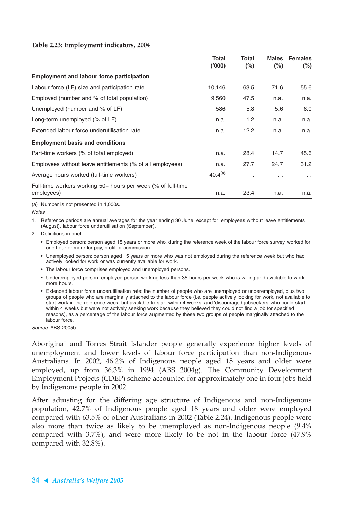#### **Table 2.23: Employment indicators, 2004**

|                                                                            | Total<br>(000) | Total<br>$(\%)$ | <b>Males</b><br>$(\%)$ | <b>Females</b><br>$(\%)$ |
|----------------------------------------------------------------------------|----------------|-----------------|------------------------|--------------------------|
| <b>Employment and labour force participation</b>                           |                |                 |                        |                          |
| Labour force (LF) size and participation rate                              | 10,146         | 63.5            | 71.6                   | 55.6                     |
| Employed (number and % of total population)                                | 9,560          | 47.5            | n.a.                   | n.a.                     |
| Unemployed (number and % of LF)                                            | 586            | 5.8             | 5.6                    | 6.0                      |
| Long-term unemployed (% of LF)                                             | n.a.           | 1.2             | n.a.                   | n.a.                     |
| Extended labour force underutilisation rate                                | n.a.           | 12.2            | n.a.                   | n.a.                     |
| <b>Employment basis and conditions</b>                                     |                |                 |                        |                          |
| Part-time workers (% of total employed)                                    | n.a.           | 28.4            | 14.7                   | 45.6                     |
| Employees without leave entitlements (% of all employees)                  | n.a.           | 27.7            | 24.7                   | 31.2                     |
| Average hours worked (full-time workers)                                   | $40.4^{(a)}$   | $\ddotsc$       | . .                    | $\sim$ $\sim$            |
| Full-time workers working 50+ hours per week (% of full-time<br>employees) | n.a.           | 23.4            | n.a.                   | n.a.                     |

(a) Number is not presented in 1,000s.

**Notes** 

1. Reference periods are annual averages for the year ending 30 June, except for: employees without leave entitlements (August), labour force underutilisation (September).

2. Definitions in brief:

- Employed person: person aged 15 years or more who, during the reference week of the labour force survey, worked for one hour or more for pay, profit or commission.
- Unemployed person: person aged 15 years or more who was not employed during the reference week but who had actively looked for work or was currently available for work.
- The labour force comprises employed and unemployed persons.
- Underemployed person: employed person working less than 35 hours per week who is willing and available to work more hours.
- Extended labour force underutilisation rate: the number of people who are unemployed or underemployed, plus two groups of people who are marginally attached to the labour force (i.e. people actively looking for work, not available to start work in the reference week, but available to start within 4 weeks, and 'discouraged jobseekers' who could start within 4 weeks but were not actively seeking work because they believed they could not find a job for specified reasons), as a percentage of the labour force augmented by these two groups of people marginally attached to the labour force.

Source: ABS 2005b.

Aboriginal and Torres Strait Islander people generally experience higher levels of unemployment and lower levels of labour force participation than non-Indigenous Australians. In 2002, 46.2% of Indigenous people aged 15 years and older were employed, up from 36.3% in 1994 (ABS 2004g). The Community Development Employment Projects (CDEP) scheme accounted for approximately one in four jobs held by Indigenous people in 2002.

After adjusting for the differing age structure of Indigenous and non-Indigenous population, 42.7% of Indigenous people aged 18 years and older were employed compared with 63.5% of other Australians in 2002 (Table 2.24). Indigenous people were also more than twice as likely to be unemployed as non-Indigenous people (9.4% compared with 3.7%), and were more likely to be not in the labour force (47.9% compared with 32.8%).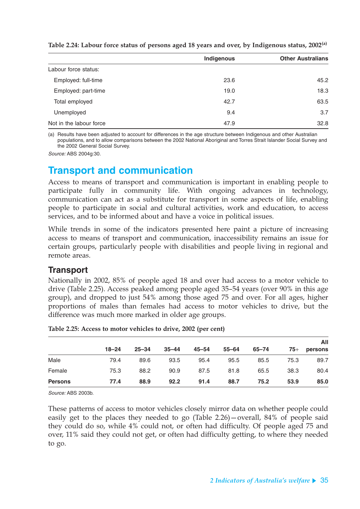|                         | Indigenous | <b>Other Australians</b> |
|-------------------------|------------|--------------------------|
| Labour force status:    |            |                          |
| Employed: full-time     | 23.6       | 45.2                     |
| Employed: part-time     | 19.0       | 18.3                     |
| Total employed          | 42.7       | 63.5                     |
| Unemployed              | 9.4        | 3.7                      |
| Not in the labour force | 47.9       | 32.8                     |

**Table 2.24: Labour force status of persons aged 18 years and over, by Indigenous status, 2002(a)**

(a) Results have been adjusted to account for differences in the age structure between Indigenous and other Australian populations, and to allow comparisons between the 2002 National Aboriginal and Torres Strait Islander Social Survey and the 2002 General Social Survey.

Source: ABS 2004g:30.

## **Transport and communication**

Access to means of transport and communication is important in enabling people to participate fully in community life. With ongoing advances in technology, communication can act as a substitute for transport in some aspects of life, enabling people to participate in social and cultural activities, work and education, to access services, and to be informed about and have a voice in political issues.

While trends in some of the indicators presented here paint a picture of increasing access to means of transport and communication, inaccessibility remains an issue for certain groups, particularly people with disabilities and people living in regional and remote areas.

### **Transport**

Nationally in 2002, 85% of people aged 18 and over had access to a motor vehicle to drive (Table 2.25). Access peaked among people aged 35–54 years (over 90% in this age group), and dropped to just 54% among those aged 75 and over. For all ages, higher proportions of males than females had access to motor vehicles to drive, but the difference was much more marked in older age groups.

|                |           |           |           |       |           |       | All   |         |  |
|----------------|-----------|-----------|-----------|-------|-----------|-------|-------|---------|--|
|                | $18 - 24$ | $25 - 34$ | $35 - 44$ | 45–54 | $55 - 64$ | 65-74 | $75+$ | persons |  |
| Male           | 79.4      | 89.6      | 93.5      | 95.4  | 95.5      | 85.5  | 75.3  | 89.7    |  |
| Female         | 75.3      | 88.2      | 90.9      | 87.5  | 81.8      | 65.5  | 38.3  | 80.4    |  |
| <b>Persons</b> | 77.4      | 88.9      | 92.2      | 91.4  | 88.7      | 75.2  | 53.9  | 85.0    |  |

**Table 2.25: Access to motor vehicles to drive, 2002 (per cent)**

Source: ABS 2003b.

These patterns of access to motor vehicles closely mirror data on whether people could easily get to the places they needed to go (Table 2.26)—overall, 84% of people said they could do so, while 4% could not, or often had difficulty. Of people aged 75 and over, 11% said they could not get, or often had difficulty getting, to where they needed to go.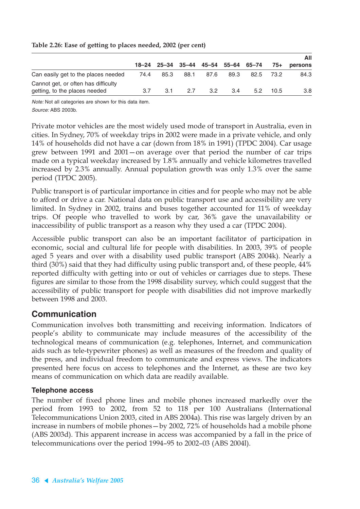| Table 2.26: Ease of getting to places needed, 2002 (per cent) |  |  |  |  |  |  |  |
|---------------------------------------------------------------|--|--|--|--|--|--|--|
|---------------------------------------------------------------|--|--|--|--|--|--|--|

|                                     |      |      |                                     |      |      |      |      | All     |  |
|-------------------------------------|------|------|-------------------------------------|------|------|------|------|---------|--|
|                                     |      |      | 18-24 25-34 35-44 45-54 55-64 65-74 |      |      |      | 75+  | persons |  |
| Can easily get to the places needed | 74.4 | 85.3 | 88.1                                | 87.6 | 89.3 | 82.5 | 73.2 | 84.3    |  |
| Cannot get, or often has difficulty |      |      |                                     |      |      |      |      |         |  |
| getting, to the places needed       | 3.7  | 3.1  | 27                                  | 3.2  | 3.4  | 5.2  | 10.5 | 3.8     |  |

Note: Not all categories are shown for this data item. Source: ABS 2003b.

Private motor vehicles are the most widely used mode of transport in Australia, even in cities. In Sydney, 70% of weekday trips in 2002 were made in a private vehicle, and only 14% of households did not have a car (down from 18% in 1991) (TPDC 2004). Car usage grew between 1991 and 2001—on average over that period the number of car trips made on a typical weekday increased by 1.8% annually and vehicle kilometres travelled increased by 2.3% annually. Annual population growth was only 1.3% over the same period (TPDC 2005).

Public transport is of particular importance in cities and for people who may not be able to afford or drive a car. National data on public transport use and accessibility are very limited. In Sydney in 2002, trains and buses together accounted for 11% of weekday trips. Of people who travelled to work by car, 36% gave the unavailability or inaccessibility of public transport as a reason why they used a car (TPDC 2004).

Accessible public transport can also be an important facilitator of participation in economic, social and cultural life for people with disabilities. In 2003, 39% of people aged 5 years and over with a disability used public transport (ABS 2004k). Nearly a third (30%) said that they had difficulty using public transport and, of these people, 44% reported difficulty with getting into or out of vehicles or carriages due to steps. These figures are similar to those from the 1998 disability survey, which could suggest that the accessibility of public transport for people with disabilities did not improve markedly between 1998 and 2003.

### **Communication**

Communication involves both transmitting and receiving information. Indicators of people's ability to communicate may include measures of the accessibility of the technological means of communication (e.g. telephones, Internet, and communication aids such as tele-typewriter phones) as well as measures of the freedom and quality of the press, and individual freedom to communicate and express views. The indicators presented here focus on access to telephones and the Internet, as these are two key means of communication on which data are readily available.

#### **Telephone access**

The number of fixed phone lines and mobile phones increased markedly over the period from 1993 to 2002, from 52 to 118 per 100 Australians (International Telecommunications Union 2003, cited in ABS 2004a). This rise was largely driven by an increase in numbers of mobile phones—by 2002, 72% of households had a mobile phone (ABS 2003d). This apparent increase in access was accompanied by a fall in the price of telecommunications over the period 1994–95 to 2002–03 (ABS 2004l).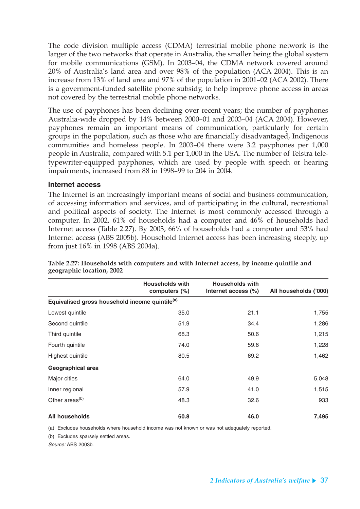The code division multiple access (CDMA) terrestrial mobile phone network is the larger of the two networks that operate in Australia, the smaller being the global system for mobile communications (GSM). In 2003–04, the CDMA network covered around 20% of Australia's land area and over 98% of the population (ACA 2004). This is an increase from 13% of land area and 97% of the population in 2001–02 (ACA 2002). There is a government-funded satellite phone subsidy, to help improve phone access in areas not covered by the terrestrial mobile phone networks.

The use of payphones has been declining over recent years; the number of payphones Australia-wide dropped by 14% between 2000–01 and 2003–04 (ACA 2004). However, payphones remain an important means of communication, particularly for certain groups in the population, such as those who are financially disadvantaged, Indigenous communities and homeless people. In 2003–04 there were 3.2 payphones per 1,000 people in Australia, compared with 5.1 per 1,000 in the USA. The number of Telstra teletypewriter-equipped payphones, which are used by people with speech or hearing impairments, increased from 88 in 1998–99 to 204 in 2004.

#### **Internet access**

The Internet is an increasingly important means of social and business communication, of accessing information and services, and of participating in the cultural, recreational and political aspects of society. The Internet is most commonly accessed through a computer. In 2002, 61% of households had a computer and 46% of households had Internet access (Table 2.27). By 2003, 66% of households had a computer and 53% had Internet access (ABS 2005b). Household Internet access has been increasing steeply, up from just 16% in 1998 (ABS 2004a).

|                                                            | <b>Households with</b><br>computers $(\%)$ | <b>Households with</b><br>Internet access (%) | All households ('000) |
|------------------------------------------------------------|--------------------------------------------|-----------------------------------------------|-----------------------|
| Equivalised gross household income quintile <sup>(a)</sup> |                                            |                                               |                       |
| Lowest quintile                                            | 35.0                                       | 21.1                                          | 1,755                 |
| Second quintile                                            | 51.9                                       | 34.4                                          | 1,286                 |
| Third quintile                                             | 68.3                                       | 50.6                                          | 1,215                 |
| Fourth quintile                                            | 74.0                                       | 59.6                                          | 1,228                 |
| Highest quintile                                           | 80.5                                       | 69.2                                          | 1,462                 |
| Geographical area                                          |                                            |                                               |                       |
| Major cities                                               | 64.0                                       | 49.9                                          | 5,048                 |
| Inner regional                                             | 57.9                                       | 41.0                                          | 1,515                 |
| Other areas <sup>(b)</sup>                                 | 48.3                                       | 32.6                                          | 933                   |
| <b>All households</b>                                      | 60.8                                       | 46.0                                          | 7,495                 |

**Table 2.27: Households with computers and with Internet access, by income quintile and geographic location, 2002**

(a) Excludes households where household income was not known or was not adequately reported.

(b) Excludes sparsely settled areas.

Source: ABS 2003b.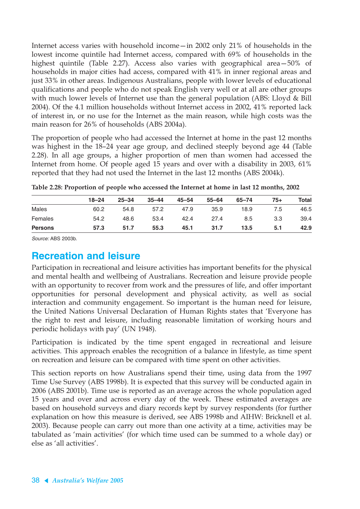Internet access varies with household income—in 2002 only 21% of households in the lowest income quintile had Internet access, compared with 69% of households in the highest quintile (Table 2.27). Access also varies with geographical area—50% of households in major cities had access, compared with 41% in inner regional areas and just 33% in other areas. Indigenous Australians, people with lower levels of educational qualifications and people who do not speak English very well or at all are other groups with much lower levels of Internet use than the general population (ABS: Lloyd & Bill 2004). Of the 4.1 million households without Internet access in 2002, 41% reported lack of interest in, or no use for the Internet as the main reason, while high costs was the main reason for 26% of households (ABS 2004a).

The proportion of people who had accessed the Internet at home in the past 12 months was highest in the 18–24 year age group, and declined steeply beyond age 44 (Table 2.28). In all age groups, a higher proportion of men than women had accessed the Internet from home. Of people aged 15 years and over with a disability in 2003, 61% reported that they had not used the Internet in the last 12 months (ABS 2004k).

|                | $18 - 24$ | $25 - 34$ | $35 - 44$ | $45 - 54$ | $55 - 64$ | $65 - 74$ | $75+$ | Total |
|----------------|-----------|-----------|-----------|-----------|-----------|-----------|-------|-------|
| Males          | 60.2      | 54.8      | 57.2      | 47.9      | 35.9      | 18.9      | 7.5   | 46.5  |
| Females        | 54.2      | 48.6      | 53.4      | 42.4      | 27.4      | 8.5       | 3.3   | 39.4  |
| <b>Persons</b> | 57.3      | 51.7      | 55.3      | 45.1      | 31.7      | 13.5      | 5.1   | 42.9  |

**Table 2.28: Proportion of people who accessed the Internet at home in last 12 months, 2002**

Source: ABS 2003b.

### **Recreation and leisure**

Participation in recreational and leisure activities has important benefits for the physical and mental health and wellbeing of Australians. Recreation and leisure provide people with an opportunity to recover from work and the pressures of life, and offer important opportunities for personal development and physical activity, as well as social interaction and community engagement. So important is the human need for leisure, the United Nations Universal Declaration of Human Rights states that 'Everyone has the right to rest and leisure, including reasonable limitation of working hours and periodic holidays with pay' (UN 1948).

Participation is indicated by the time spent engaged in recreational and leisure activities. This approach enables the recognition of a balance in lifestyle, as time spent on recreation and leisure can be compared with time spent on other activities.

This section reports on how Australians spend their time, using data from the 1997 Time Use Survey (ABS 1998b). It is expected that this survey will be conducted again in 2006 (ABS 2001b). Time use is reported as an average across the whole population aged 15 years and over and across every day of the week. These estimated averages are based on household surveys and diary records kept by survey respondents (for further explanation on how this measure is derived, see ABS 1998b and AIHW: Bricknell et al. 2003). Because people can carry out more than one activity at a time, activities may be tabulated as 'main activities' (for which time used can be summed to a whole day) or else as 'all activities'.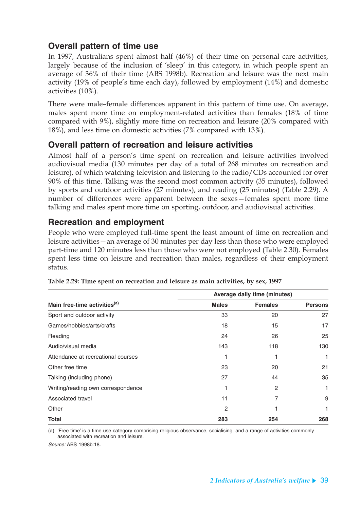### **Overall pattern of time use**

In 1997, Australians spent almost half (46%) of their time on personal care activities, largely because of the inclusion of 'sleep' in this category, in which people spent an average of 36% of their time (ABS 1998b). Recreation and leisure was the next main activity (19% of people's time each day), followed by employment (14%) and domestic activities (10%).

There were male–female differences apparent in this pattern of time use. On average, males spent more time on employment-related activities than females (18% of time compared with 9%), slightly more time on recreation and leisure (20% compared with 18%), and less time on domestic activities (7% compared with 13%).

### **Overall pattern of recreation and leisure activities**

Almost half of a person's time spent on recreation and leisure activities involved audiovisual media (130 minutes per day of a total of 268 minutes on recreation and leisure), of which watching television and listening to the radio/CDs accounted for over 90% of this time. Talking was the second most common activity (35 minutes), followed by sports and outdoor activities (27 minutes), and reading (25 minutes) (Table 2.29). A number of differences were apparent between the sexes—females spent more time talking and males spent more time on sporting, outdoor, and audiovisual activities.

### **Recreation and employment**

People who were employed full-time spent the least amount of time on recreation and leisure activities—an average of 30 minutes per day less than those who were employed part-time and 120 minutes less than those who were not employed (Table 2.30). Females spent less time on leisure and recreation than males, regardless of their employment status.

|                                          | Average daily time (minutes) |                |                |  |  |  |  |
|------------------------------------------|------------------------------|----------------|----------------|--|--|--|--|
| Main free-time activities <sup>(a)</sup> | <b>Males</b>                 | <b>Females</b> | <b>Persons</b> |  |  |  |  |
| Sport and outdoor activity               | 33                           | 20             | 27             |  |  |  |  |
| Games/hobbies/arts/crafts                | 18                           | 15             | 17             |  |  |  |  |
| Reading                                  | 24                           | 26             | 25             |  |  |  |  |
| Audio/visual media                       | 143                          | 118            | 130            |  |  |  |  |
| Attendance at recreational courses       |                              |                | 1              |  |  |  |  |
| Other free time                          | 23                           | 20             | 21             |  |  |  |  |
| Talking (including phone)                | 27                           | 44             | 35             |  |  |  |  |
| Writing/reading own correspondence       |                              | 2              |                |  |  |  |  |
| Associated travel                        | 11                           | 7              | 9              |  |  |  |  |
| Other                                    | 2                            |                | 1              |  |  |  |  |
| Total                                    | 283                          | 254            | 268            |  |  |  |  |

**Table 2.29: Time spent on recreation and leisure as main activities, by sex, 1997**

(a) 'Free time' is a time use category comprising religious observance, socialising, and a range of activities commonly associated with recreation and leisure.

Source: ABS 1998b:18.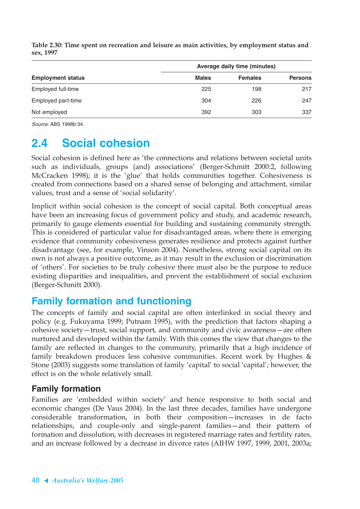|                          | Average daily time (minutes) |                |                |  |  |  |  |  |
|--------------------------|------------------------------|----------------|----------------|--|--|--|--|--|
| <b>Employment status</b> | <b>Males</b>                 | <b>Females</b> | <b>Persons</b> |  |  |  |  |  |
| Employed full-time       | 225                          | 198            | 217            |  |  |  |  |  |
| Employed part-time       | 304                          | 226            | 247            |  |  |  |  |  |
| Not employed             | 392                          | 303            | 337            |  |  |  |  |  |

**Table 2.30: Time spent on recreation and leisure as main activities, by employment status and sex, 1997**

Source: ABS 1998b:34.

# **2.4 Social cohesion**

Social cohesion is defined here as 'the connections and relations between societal units such as individuals, groups (and) associations' (Berger-Schmitt 2000:2, following McCracken 1998); it is the 'glue' that holds communities together. Cohesiveness is created from connections based on a shared sense of belonging and attachment, similar values, trust and a sense of 'social solidarity'.

Implicit within social cohesion is the concept of social capital. Both conceptual areas have been an increasing focus of government policy and study, and academic research, primarily to gauge elements essential for building and sustaining community strength. This is considered of particular value for disadvantaged areas, where there is emerging evidence that community cohesiveness generates resilience and protects against further disadvantage (see, for example, Vinson 2004). Nonetheless, strong social capital on its own is not always a positive outcome, as it may result in the exclusion or discrimination of 'others'. For societies to be truly cohesive there must also be the purpose to reduce existing disparities and inequalities, and prevent the establishment of social exclusion (Berger-Schmitt 2000).

## **Family formation and functioning**

The concepts of family and social capital are often interlinked in social theory and policy (e.g. Fukuyama 1999; Putnam 1995), with the prediction that factors shaping a cohesive society—trust, social support, and community and civic awareness—are often nurtured and developed within the family. With this comes the view that changes to the family are reflected in changes to the community, primarily that a high incidence of family breakdown produces less cohesive communities. Recent work by Hughes & Stone (2003) suggests some translation of family 'capital' to social 'capital'; however, the effect is on the whole relatively small.

### **Family formation**

Families are 'embedded within society' and hence responsive to both social and economic changes (De Vaus 2004). In the last three decades, families have undergone considerable transformation, in both their composition—increases in de facto relationships, and couple-only and single-parent families—and their pattern of formation and dissolution, with decreases in registered marriage rates and fertility rates, and an increase followed by a decrease in divorce rates (AIHW 1997, 1999, 2001, 2003a;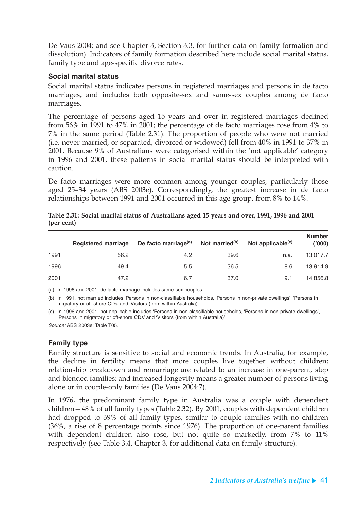De Vaus 2004; and see Chapter 3, Section 3.3, for further data on family formation and dissolution). Indicators of family formation described here include social marital status, family type and age-specific divorce rates.

#### **Social marital status**

Social marital status indicates persons in registered marriages and persons in de facto marriages, and includes both opposite-sex and same-sex couples among de facto marriages.

The percentage of persons aged 15 years and over in registered marriages declined from 56% in 1991 to 47% in 2001; the percentage of de facto marriages rose from 4% to 7% in the same period (Table 2.31). The proportion of people who were not married (i.e. never married, or separated, divorced or widowed) fell from 40% in 1991 to 37% in 2001. Because 9% of Australians were categorised within the 'not applicable' category in 1996 and 2001, these patterns in social marital status should be interpreted with caution.

De facto marriages were more common among younger couples, particularly those aged 25–34 years (ABS 2003e). Correspondingly, the greatest increase in de facto relationships between 1991 and 2001 occurred in this age group, from 8% to 14%.

|      | <b>Registered marriage</b> | De facto marriage <sup>(a)</sup> | Not married <sup>(b)</sup> | Not applicable <sup>(c)</sup> | <b>Number</b><br>(000) |
|------|----------------------------|----------------------------------|----------------------------|-------------------------------|------------------------|
| 1991 | 56.2                       | 4.2                              | 39.6                       | n.a.                          | 13,017.7               |
| 1996 | 49.4                       | 5.5                              | 36.5                       | 8.6                           | 13.914.9               |
| 2001 | 47.2                       | 6.7                              | 37.0                       | 9.1                           | 14.856.8               |

| Table 2.31: Social marital status of Australians aged 15 years and over, 1991, 1996 and 2001 |  |  |  |  |  |  |  |
|----------------------------------------------------------------------------------------------|--|--|--|--|--|--|--|
| (per cent)                                                                                   |  |  |  |  |  |  |  |

(a) In 1996 and 2001, de facto marriage includes same-sex couples.

(b) In 1991, not married includes 'Persons in non-classifiable households, 'Persons in non-private dwellings', 'Persons in migratory or off-shore CDs' and 'Visitors (from within Australia)'.

(c) In 1996 and 2001, not applicable includes 'Persons in non-classifiable households, 'Persons in non-private dwellings', 'Persons in migratory or off-shore CDs' and 'Visitors (from within Australia)'.

Source: ABS 2003e: Table T05.

#### **Family type**

Family structure is sensitive to social and economic trends. In Australia, for example, the decline in fertility means that more couples live together without children; relationship breakdown and remarriage are related to an increase in one-parent, step and blended families; and increased longevity means a greater number of persons living alone or in couple-only families (De Vaus 2004:7).

In 1976, the predominant family type in Australia was a couple with dependent children—48% of all family types (Table 2.32). By 2001, couples with dependent children had dropped to 39% of all family types, similar to couple families with no children (36%, a rise of 8 percentage points since 1976). The proportion of one-parent families with dependent children also rose, but not quite so markedly, from 7% to 11% respectively (see Table 3.4, Chapter 3, for additional data on family structure).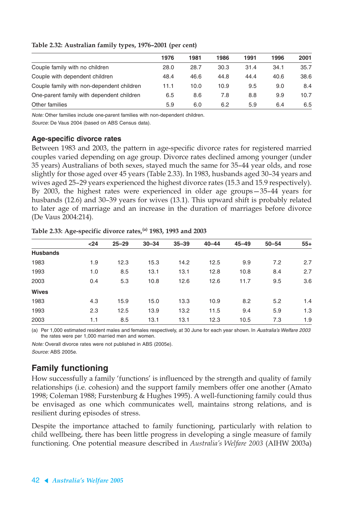|                                           | 1976 | 1981 | 1986 | 1991 | 1996 | 2001 |
|-------------------------------------------|------|------|------|------|------|------|
| Couple family with no children            | 28.0 | 28.7 | 30.3 | 31.4 | 34.1 | 35.7 |
| Couple with dependent children            | 48.4 | 46.6 | 44.8 | 44.4 | 40.6 | 38.6 |
| Couple family with non-dependent children | 11.1 | 10.0 | 10.9 | 9.5  | 9.0  | 8.4  |
| One-parent family with dependent children | 6.5  | 8.6  | 7.8  | 8.8  | 9.9  | 10.7 |
| Other families                            | 5.9  | 6.0  | 6.2  | 5.9  | 6.4  | 6.5  |

#### **Table 2.32: Australian family types, 1976–2001 (per cent)**

Note: Other families include one-parent families with non-dependent children.

Source: De Vaus 2004 (based on ABS Census data).

#### **Age-specific divorce rates**

Between 1983 and 2003, the pattern in age-specific divorce rates for registered married couples varied depending on age group. Divorce rates declined among younger (under 35 years) Australians of both sexes, stayed much the same for 35–44 year olds, and rose slightly for those aged over 45 years (Table 2.33). In 1983, husbands aged 30–34 years and wives aged 25–29 years experienced the highest divorce rates (15.3 and 15.9 respectively). By 2003, the highest rates were experienced in older age groups—35–44 years for husbands (12.6) and 30–39 years for wives (13.1). This upward shift is probably related to later age of marriage and an increase in the duration of marriages before divorce (De Vaus 2004:214).

|                 | $24$ | $25 - 29$ | $30 - 34$ | $35 - 39$ | $40 - 44$ | $45 - 49$ | $50 - 54$ | $55+$ |
|-----------------|------|-----------|-----------|-----------|-----------|-----------|-----------|-------|
| <b>Husbands</b> |      |           |           |           |           |           |           |       |
| 1983            | 1.9  | 12.3      | 15.3      | 14.2      | 12.5      | 9.9       | 7.2       | 2.7   |
| 1993            | 1.0  | 8.5       | 13.1      | 13.1      | 12.8      | 10.8      | 8.4       | 2.7   |
| 2003            | 0.4  | 5.3       | 10.8      | 12.6      | 12.6      | 11.7      | 9.5       | 3.6   |
| <b>Wives</b>    |      |           |           |           |           |           |           |       |
| 1983            | 4.3  | 15.9      | 15.0      | 13.3      | 10.9      | 8.2       | 5.2       | 1.4   |
| 1993            | 2.3  | 12.5      | 13.9      | 13.2      | 11.5      | 9.4       | 5.9       | 1.3   |
| 2003            | 1.1  | 8.5       | 13.1      | 13.1      | 12.3      | 10.5      | 7.3       | 1.9   |

**Table 2.33: Age-specific divorce rates,(a) 1983, 1993 and 2003**

(a) Per 1,000 estimated resident males and females respectively, at 30 June for each year shown. In Australia's Welfare 2003 the rates were per 1,000 married men and women.

Note: Overall divorce rates were not published in ABS (2005e). Source: ABS 2005e.

### **Family functioning**

How successfully a family 'functions' is influenced by the strength and quality of family relationships (i.e. cohesion) and the support family members offer one another (Amato 1998; Coleman 1988; Furstenburg & Hughes 1995). A well-functioning family could thus be envisaged as one which communicates well, maintains strong relations, and is resilient during episodes of stress.

Despite the importance attached to family functioning, particularly with relation to child wellbeing, there has been little progress in developing a single measure of family functioning. One potential measure described in *Australia's Welfare 2003* (AIHW 2003a)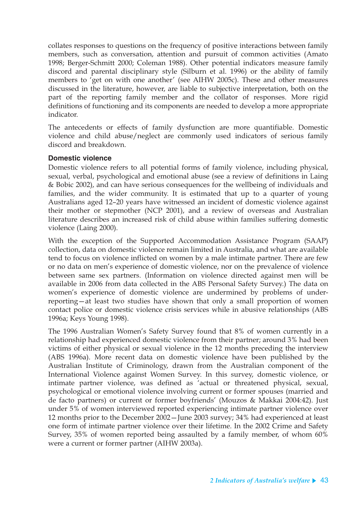collates responses to questions on the frequency of positive interactions between family members, such as conversation, attention and pursuit of common activities (Amato 1998; Berger-Schmitt 2000; Coleman 1988). Other potential indicators measure family discord and parental disciplinary style (Silburn et al. 1996) or the ability of family members to 'get on with one another' (see AIHW 2005c). These and other measures discussed in the literature, however, are liable to subjective interpretation, both on the part of the reporting family member and the collator of responses. More rigid definitions of functioning and its components are needed to develop a more appropriate indicator.

The antecedents or effects of family dysfunction are more quantifiable. Domestic violence and child abuse/neglect are commonly used indicators of serious family discord and breakdown.

#### **Domestic violence**

Domestic violence refers to all potential forms of family violence, including physical, sexual, verbal, psychological and emotional abuse (see a review of definitions in Laing & Bobic 2002), and can have serious consequences for the wellbeing of individuals and families, and the wider community. It is estimated that up to a quarter of young Australians aged 12–20 years have witnessed an incident of domestic violence against their mother or stepmother (NCP 2001), and a review of overseas and Australian literature describes an increased risk of child abuse within families suffering domestic violence (Laing 2000).

With the exception of the Supported Accommodation Assistance Program (SAAP) collection, data on domestic violence remain limited in Australia, and what are available tend to focus on violence inflicted on women by a male intimate partner. There are few or no data on men's experience of domestic violence, nor on the prevalence of violence between same sex partners. (Information on violence directed against men will be available in 2006 from data collected in the ABS Personal Safety Survey.) The data on women's experience of domestic violence are undermined by problems of underreporting—at least two studies have shown that only a small proportion of women contact police or domestic violence crisis services while in abusive relationships (ABS 1996a; Keys Young 1998).

The 1996 Australian Women's Safety Survey found that 8% of women currently in a relationship had experienced domestic violence from their partner; around 3% had been victims of either physical or sexual violence in the 12 months preceding the interview (ABS 1996a). More recent data on domestic violence have been published by the Australian Institute of Criminology, drawn from the Australian component of the International Violence against Women Survey. In this survey, domestic violence, or intimate partner violence, was defined as 'actual or threatened physical, sexual, psychological or emotional violence involving current or former spouses (married and de facto partners) or current or former boyfriends' (Mouzos & Makkai 2004:42). Just under 5% of women interviewed reported experiencing intimate partner violence over 12 months prior to the December 2002—June 2003 survey; 34% had experienced at least one form of intimate partner violence over their lifetime. In the 2002 Crime and Safety Survey, 35% of women reported being assaulted by a family member, of whom 60% were a current or former partner (AIHW 2003a).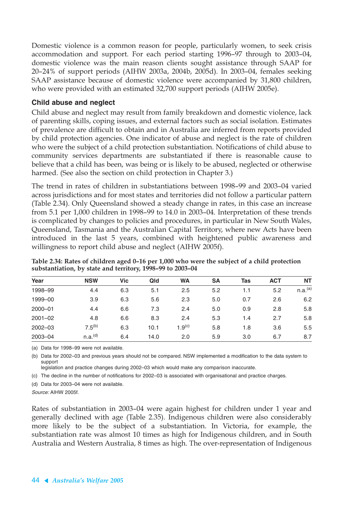Domestic violence is a common reason for people, particularly women, to seek crisis accommodation and support. For each period starting 1996–97 through to 2003–04, domestic violence was the main reason clients sought assistance through SAAP for 20–24% of support periods (AIHW 2003a, 2004b, 2005d). In 2003–04, females seeking SAAP assistance because of domestic violence were accompanied by 31,800 children, who were provided with an estimated 32,700 support periods (AIHW 2005e).

#### **Child abuse and neglect**

Child abuse and neglect may result from family breakdown and domestic violence, lack of parenting skills, coping issues, and external factors such as social isolation. Estimates of prevalence are difficult to obtain and in Australia are inferred from reports provided by child protection agencies. One indicator of abuse and neglect is the rate of children who were the subject of a child protection substantiation. Notifications of child abuse to community services departments are substantiated if there is reasonable cause to believe that a child has been, was being or is likely to be abused, neglected or otherwise harmed. (See also the section on child protection in Chapter 3.)

The trend in rates of children in substantiations between 1998–99 and 2003–04 varied across jurisdictions and for most states and territories did not follow a particular pattern (Table 2.34). Only Queensland showed a steady change in rates, in this case an increase from 5.1 per 1,000 children in 1998–99 to 14.0 in 2003–04. Interpretation of these trends is complicated by changes to policies and procedures, in particular in New South Wales, Queensland, Tasmania and the Australian Capital Territory, where new Acts have been introduced in the last 5 years, combined with heightened public awareness and willingness to report child abuse and neglect (AIHW 2005f).

| Year        | <b>NSW</b>          | Vic | Qld  | <b>WA</b>          | <b>SA</b> | Tas | <b>ACT</b> | <b>NT</b>           |
|-------------|---------------------|-----|------|--------------------|-----------|-----|------------|---------------------|
| 1998-99     | 4.4                 | 6.3 | 5.1  | 2.5                | 5.2       | 1.1 | 5.2        | n.a. <sup>(a)</sup> |
| 1999-00     | 3.9                 | 6.3 | 5.6  | 2.3                | 5.0       | 0.7 | 2.6        | 6.2                 |
| $2000 - 01$ | 4.4                 | 6.6 | 7.3  | 2.4                | 5.0       | 0.9 | 2.8        | 5.8                 |
| $2001 - 02$ | 4.8                 | 6.6 | 8.3  | 2.4                | 5.3       | 1.4 | 2.7        | 5.8                 |
| 2002-03     | $7.5^{(b)}$         | 6.3 | 10.1 | 1.9 <sup>(c)</sup> | 5.8       | 1.8 | 3.6        | 5.5                 |
| 2003-04     | n.a. <sup>(d)</sup> | 6.4 | 14.0 | 2.0                | 5.9       | 3.0 | 6.7        | 8.7                 |

**Table 2.34: Rates of children aged 0–16 per 1,000 who were the subject of a child protection substantiation, by state and territory, 1998–99 to 2003–04**

(a) Data for 1998–99 were not available.

(b) Data for 2002–03 and previous years should not be compared. NSW implemented a modification to the data system to support

legislation and practice changes during 2002–03 which would make any comparison inaccurate.

(c) The decline in the number of notifications for 2002–03 is associated with organisational and practice charges.

(d) Data for 2003–04 were not available.

Source: AIHW 2005f.

Rates of substantiation in 2003–04 were again highest for children under 1 year and generally declined with age (Table 2.35). Indigenous children were also considerably more likely to be the subject of a substantiation. In Victoria, for example, the substantiation rate was almost 10 times as high for Indigenous children, and in South Australia and Western Australia, 8 times as high. The over-representation of Indigenous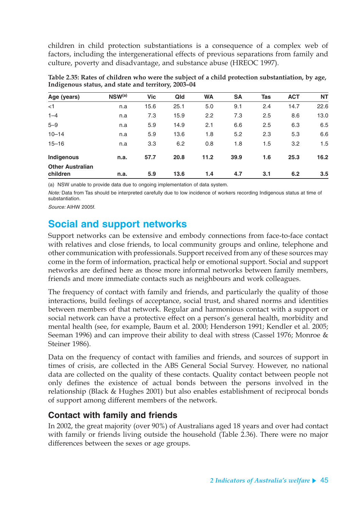children in child protection substantiations is a consequence of a complex web of factors, including the intergenerational effects of previous separations from family and culture, poverty and disadvantage, and substance abuse (HREOC 1997).

| Age (years)             | $NSW^{(a)}$ | <b>Vic</b> | Qld  | <b>WA</b> | <b>SA</b> | <b>Tas</b> | <b>ACT</b> | <b>NT</b> |
|-------------------------|-------------|------------|------|-----------|-----------|------------|------------|-----------|
| $<$ 1                   | n.a         | 15.6       | 25.1 | 5.0       | 9.1       | 2.4        | 14.7       | 22.6      |
| $1 - 4$                 | n.a         | 7.3        | 15.9 | 2.2       | 7.3       | 2.5        | 8.6        | 13.0      |
| $5 - 9$                 | n.a         | 5.9        | 14.9 | 2.1       | 6.6       | 2.5        | 6.3        | 6.5       |
| $10 - 14$               | n.a         | 5.9        | 13.6 | 1.8       | 5.2       | 2.3        | 5.3        | 6.6       |
| $15 - 16$               | n.a         | 3.3        | 6.2  | 0.8       | 1.8       | 1.5        | 3.2        | 1.5       |
| Indigenous              | n.a.        | 57.7       | 20.8 | 11.2      | 39.9      | 1.6        | 25.3       | 16.2      |
| <b>Other Australian</b> |             |            |      |           |           |            |            |           |
| children                | n.a.        | 5.9        | 13.6 | 1.4       | 4.7       | 3.1        | 6.2        | 3.5       |

**Table 2.35: Rates of children who were the subject of a child protection substantiation, by age, Indigenous status, and state and territory, 2003–04**

(a) NSW unable to provide data due to ongoing implementation of data system.

Note: Data from Tas should be interpreted carefully due to low incidence of workers recording Indigenous status at time of substantiation.

Source: AIHW 2005f.

## **Social and support networks**

Support networks can be extensive and embody connections from face-to-face contact with relatives and close friends, to local community groups and online, telephone and other communication with professionals. Support received from any of these sources may come in the form of information, practical help or emotional support. Social and support networks are defined here as those more informal networks between family members, friends and more immediate contacts such as neighbours and work colleagues.

The frequency of contact with family and friends, and particularly the quality of those interactions, build feelings of acceptance, social trust, and shared norms and identities between members of that network. Regular and harmonious contact with a support or social network can have a protective effect on a person's general health, morbidity and mental health (see, for example, Baum et al. 2000; Henderson 1991; Kendler et al. 2005; Seeman 1996) and can improve their ability to deal with stress (Cassel 1976; Monroe & Steiner 1986).

Data on the frequency of contact with families and friends, and sources of support in times of crisis, are collected in the ABS General Social Survey. However, no national data are collected on the quality of these contacts. Quality contact between people not only defines the existence of actual bonds between the persons involved in the relationship (Black & Hughes 2001) but also enables establishment of reciprocal bonds of support among different members of the network.

### **Contact with family and friends**

In 2002, the great majority (over 90%) of Australians aged 18 years and over had contact with family or friends living outside the household (Table 2.36). There were no major differences between the sexes or age groups.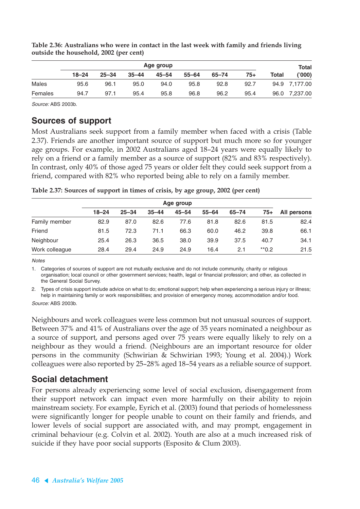|              |           | Total     |           |           |           |           |       |       |               |
|--------------|-----------|-----------|-----------|-----------|-----------|-----------|-------|-------|---------------|
|              | $18 - 24$ | $25 - 34$ | $35 - 44$ | $45 - 54$ | $55 - 64$ | $65 - 74$ | $75+$ | Total | ('000)        |
| <b>Males</b> | 95.6      | 96.1      | 95.0      | 94.0      | 95.8      | 92.8      | 92.7  |       | 94.9 7,177.00 |
| Females      | 94.7      | 97.1      | 95.4      | 95.8      | 96.8      | 96.2      | 95.4  |       | 96.0 7,237.00 |

**Table 2.36: Australians who were in contact in the last week with family and friends living outside the household, 2002 (per cent)**

Source: ABS 2003b.

#### **Sources of support**

Most Australians seek support from a family member when faced with a crisis (Table 2.37). Friends are another important source of support but much more so for younger age groups. For example, in 2002 Australians aged 18–24 years were equally likely to rely on a friend or a family member as a source of support (82% and 83% respectively). In contrast, only 40% of those aged 75 years or older felt they could seek support from a friend, compared with 82% who reported being able to rely on a family member.

| Table 2.37: Sources of support in times of crisis, by age group, 2002 (per cent) |  |  |  |
|----------------------------------------------------------------------------------|--|--|--|
|----------------------------------------------------------------------------------|--|--|--|

|                |           | Age group |           |           |           |           |                    |             |  |  |
|----------------|-----------|-----------|-----------|-----------|-----------|-----------|--------------------|-------------|--|--|
|                | $18 - 24$ | $25 - 34$ | $35 - 44$ | $45 - 54$ | $55 - 64$ | $65 - 74$ | 75+                | All persons |  |  |
| Family member  | 82.9      | 87.0      | 82.6      | 77.6      | 81.8      | 82.6      | 81.5               | 82.4        |  |  |
| Friend         | 81.5      | 72.3      | 71.1      | 66.3      | 60.0      | 46.2      | 39.8               | 66.1        |  |  |
| Neighbour      | 25.4      | 26.3      | 36.5      | 38.0      | 39.9      | 37.5      | 40.7               | 34.1        |  |  |
| Work colleague | 28.4      | 29.4      | 24.9      | 24.9      | 16.4      | 2.1       | $*$ <sup>0.2</sup> | 21.5        |  |  |

**Notes** 

1. Categories of sources of support are not mutually exclusive and do not include community, charity or religious organisation; local council or other government services; health, legal or financial profession; and other, as collected in the General Social Survey.

2. Types of crisis support include advice on what to do; emotional support; help when experiencing a serious injury or illness; help in maintaining family or work responsibilities; and provision of emergency money, accommodation and/or food. Source: ABS 2003b.

Neighbours and work colleagues were less common but not unusual sources of support. Between 37% and 41% of Australians over the age of 35 years nominated a neighbour as a source of support, and persons aged over 75 years were equally likely to rely on a neighbour as they would a friend. (Neighbours are an important resource for older persons in the community (Schwirian & Schwirian 1993; Young et al. 2004).) Work colleagues were also reported by 25–28% aged 18–54 years as a reliable source of support.

### **Social detachment**

For persons already experiencing some level of social exclusion, disengagement from their support network can impact even more harmfully on their ability to rejoin mainstream society. For example, Eyrich et al. (2003) found that periods of homelessness were significantly longer for people unable to count on their family and friends, and lower levels of social support are associated with, and may prompt, engagement in criminal behaviour (e.g. Colvin et al. 2002). Youth are also at a much increased risk of suicide if they have poor social supports (Esposito & Clum 2003).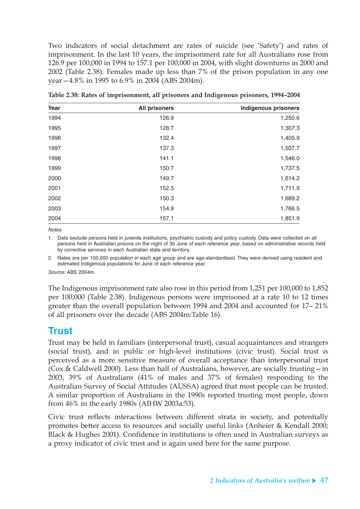Two indicators of social detachment are rates of suicide (see 'Safety') and rates of imprisonment. In the last 10 years, the imprisonment rate for all Australians rose from 126.9 per 100,000 in 1994 to 157.1 per 100,000 in 2004, with slight downturns in 2000 and 2002 (Table 2.38). Females made up less than 7% of the prison population in any one year—4.8% in 1995 to 6.9% in 2004 (ABS 2004m).

| Year | <b>All prisoners</b> | <b>Indigenous prisoners</b> |
|------|----------------------|-----------------------------|
| 1994 | 126.9                | 1,250.6                     |
| 1995 | 128.7                | 1,307.3                     |
| 1996 | 132.4                | 1,405.9                     |
| 1997 | 137.3                | 1,507.7                     |
| 1998 | 141.1                | 1,546.0                     |
| 1999 | 150.7                | 1,737.5                     |
| 2000 | 149.7                | 1,614.2                     |
| 2001 | 152.5                | 1,711.9                     |
| 2002 | 150.3                | 1,689.2                     |
| 2003 | 154.9                | 1,766.5                     |
| 2004 | 157.1                | 1,851.9                     |

**Table 2.38: Rates of imprisonment, all prisoners and Indigenous prisoners, 1994–2004**

**Notes** 

1. Data exclude persons held in juvenile institutions, psychiatric custody and policy custody. Data were collected on all persons held in Australian prisons on the night of 30 June of each reference year, based on administrative records held by corrective services in each Australian state and territory.

2. Rates are per 100,000 population in each age group and are age-standardised. They were derived using resident and estimated Indigenous populations for June of each reference year.

Source: ABS 2004m.

The Indigenous imprisonment rate also rose in this period from 1,251 per 100,000 to 1,852 per 100,000 (Table 2.38). Indigenous persons were imprisoned at a rate 10 to 12 times greater than the overall population between 1994 and 2004 and accounted for 17– 21% of all prisoners over the decade (ABS 2004m:Table 16).

## **Trust**

Trust may be held in familiars (interpersonal trust), casual acquaintances and strangers (social trust), and in public or high-level institutions (civic trust). Social trust is perceived as a more sensitive measure of overall acceptance than interpersonal trust (Cox & Caldwell 2000). Less than half of Australians, however, are socially trusting—in 2003, 39% of Australians (41% of males and 37% of females) responding to the Australian Survey of Social Attitudes (AUSSA) agreed that most people can be trusted. A similar proportion of Australians in the 1990s reported trusting most people, down from 46% in the early 1980s (AIHW 2003a:53).

Civic trust reflects interactions between different strata in society, and potentially promotes better access to resources and socially useful links (Anheier & Kendall 2000; Black & Hughes 2001). Confidence in institutions is often used in Australian surveys as a proxy indicator of civic trust and is again used here for the same purpose.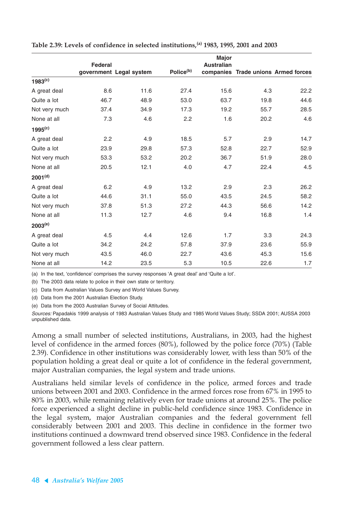|                     |         |                         |                       | <b>Major</b>      |      |                                     |
|---------------------|---------|-------------------------|-----------------------|-------------------|------|-------------------------------------|
|                     | Federal |                         |                       | <b>Australian</b> |      |                                     |
|                     |         | government Legal system | Police <sup>(b)</sup> |                   |      | companies Trade unions Armed forces |
| $1983^{(c)}$        |         |                         |                       |                   |      |                                     |
| A great deal        | 8.6     | 11.6                    | 27.4                  | 15.6              | 4.3  | 22.2                                |
| Quite a lot         | 46.7    | 48.9                    | 53.0                  | 63.7              | 19.8 | 44.6                                |
| Not very much       | 37.4    | 34.9                    | 17.3                  | 19.2              | 55.7 | 28.5                                |
| None at all         | 7.3     | 4.6                     | 2.2                   | 1.6               | 20.2 | 4.6                                 |
| 1995 <sup>(c)</sup> |         |                         |                       |                   |      |                                     |
| A great deal        | 2.2     | 4.9                     | 18.5                  | 5.7               | 2.9  | 14.7                                |
| Quite a lot         | 23.9    | 29.8                    | 57.3                  | 52.8              | 22.7 | 52.9                                |
| Not very much       | 53.3    | 53.2                    | 20.2                  | 36.7              | 51.9 | 28.0                                |
| None at all         | 20.5    | 12.1                    | 4.0                   | 4.7               | 22.4 | 4.5                                 |
| 2001 <sup>(d)</sup> |         |                         |                       |                   |      |                                     |
| A great deal        | 6.2     | 4.9                     | 13.2                  | 2.9               | 2.3  | 26.2                                |
| Quite a lot         | 44.6    | 31.1                    | 55.0                  | 43.5              | 24.5 | 58.2                                |
| Not very much       | 37.8    | 51.3                    | 27.2                  | 44.3              | 56.6 | 14.2                                |
| None at all         | 11.3    | 12.7                    | 4.6                   | 9.4               | 16.8 | 1.4                                 |
| $2003^{(e)}$        |         |                         |                       |                   |      |                                     |
| A great deal        | 4.5     | 4.4                     | 12.6                  | 1.7               | 3.3  | 24.3                                |
| Quite a lot         | 34.2    | 24.2                    | 57.8                  | 37.9              | 23.6 | 55.9                                |
| Not very much       | 43.5    | 46.0                    | 22.7                  | 43.6              | 45.3 | 15.6                                |
| None at all         | 14.2    | 23.5                    | 5.3                   | 10.5              | 22.6 | 1.7                                 |

**Table 2.39: Levels of confidence in selected institutions,(a) 1983, 1995, 2001 and 2003**

(a) In the text, 'confidence' comprises the survey responses 'A great deal' and 'Quite a lot'.

(b) The 2003 data relate to police in their own state or territory.

(c) Data from Australian Values Survey and World Values Survey.

(d) Data from the 2001 Australian Election Study.

(e) Data from the 2003 Australian Survey of Social Attitudes.

Sources: Papadakis 1999 analysis of 1983 Australian Values Study and 1985 World Values Study; SSDA 2001; AUSSA 2003 unpublished data.

Among a small number of selected institutions, Australians, in 2003, had the highest level of confidence in the armed forces (80%), followed by the police force (70%) (Table 2.39). Confidence in other institutions was considerably lower, with less than 50% of the population holding a great deal or quite a lot of confidence in the federal government, major Australian companies, the legal system and trade unions.

Australians held similar levels of confidence in the police, armed forces and trade unions between 2001 and 2003. Confidence in the armed forces rose from 67% in 1995 to 80% in 2003, while remaining relatively even for trade unions at around 25%. The police force experienced a slight decline in public-held confidence since 1983. Confidence in the legal system, major Australian companies and the federal government fell considerably between 2001 and 2003. This decline in confidence in the former two institutions continued a downward trend observed since 1983. Confidence in the federal government followed a less clear pattern.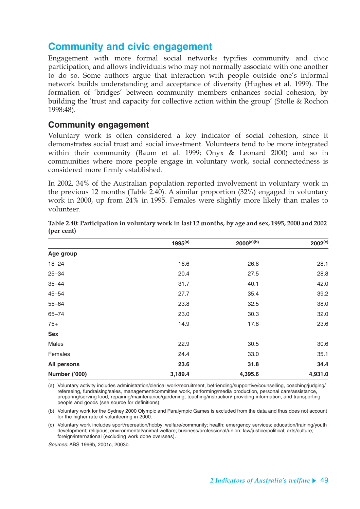### **Community and civic engagement**

Engagement with more formal social networks typifies community and civic participation, and allows individuals who may not normally associate with one another to do so. Some authors argue that interaction with people outside one's informal network builds understanding and acceptance of diversity (Hughes et al. 1999). The formation of 'bridges' between community members enhances social cohesion, by building the 'trust and capacity for collective action within the group' (Stolle & Rochon 1998:48).

#### **Community engagement**

Voluntary work is often considered a key indicator of social cohesion, since it demonstrates social trust and social investment. Volunteers tend to be more integrated within their community (Baum et al. 1999; Onyx & Leonard 2000) and so in communities where more people engage in voluntary work, social connectedness is considered more firmly established.

In 2002, 34% of the Australian population reported involvement in voluntary work in the previous 12 months (Table 2.40). A similar proportion (32%) engaged in voluntary work in 2000, up from 24% in 1995. Females were slightly more likely than males to volunteer.

|               | $1995^{(a)}$ | $2000^{(a)(b)}$ | $2002^{(c)}$ |
|---------------|--------------|-----------------|--------------|
| Age group     |              |                 |              |
| $18 - 24$     | 16.6         | 26.8            | 28.1         |
| $25 - 34$     | 20.4         | 27.5            | 28.8         |
| $35 - 44$     | 31.7         | 40.1            | 42.0         |
| $45 - 54$     | 27.7         | 35.4            | 39.2         |
| $55 - 64$     | 23.8         | 32.5            | 38.0         |
| $65 - 74$     | 23.0         | 30.3            | 32.0         |
| $75+$         | 14.9         | 17.8            | 23.6         |
| <b>Sex</b>    |              |                 |              |
| Males         | 22.9         | 30.5            | 30.6         |
| Females       | 24.4         | 33.0            | 35.1         |
| All persons   | 23.6         | 31.8            | 34.4         |
| Number ('000) | 3,189.4      | 4,395.6         | 4,931.0      |

**Table 2.40: Participation in voluntary work in last 12 months, by age and sex, 1995, 2000 and 2002 (per cent)**

(a) Voluntary activity includes administration/clerical work/recruitment, befriending/supportive/counselling, coaching/judging/ refereeing, fundraising/sales, management/committee work, performing/media production, personal care/assistance, preparing/serving food, repairing/maintenance/gardening, teaching/instruction/ providing information, and transporting people and goods (see source for definitions).

(b) Voluntary work for the Sydney 2000 Olympic and Paralympic Games is excluded from the data and thus does not account for the higher rate of volunteering in 2000.

(c) Voluntary work includes sport/recreation/hobby; welfare/community; health; emergency services; education/training/youth development; religious; environmental/animal welfare; business/professional/union; law/justice/political; arts/culture; foreign/international (excluding work done overseas).

Sources: ABS 1996b, 2001c, 2003b.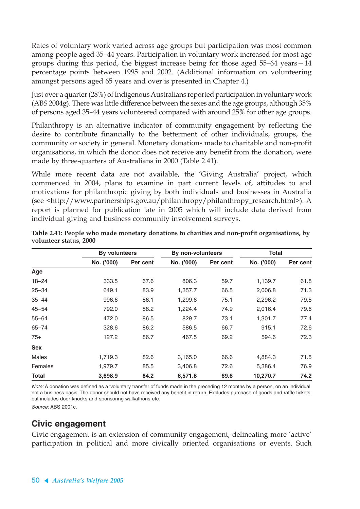Rates of voluntary work varied across age groups but participation was most common among people aged 35–44 years. Participation in voluntary work increased for most age groups during this period, the biggest increase being for those aged 55–64 years—14 percentage points between 1995 and 2002. (Additional information on volunteering amongst persons aged 65 years and over is presented in Chapter 4.)

Just over a quarter (28%) of Indigenous Australians reported participation in voluntary work (ABS 2004g). There was little difference between the sexes and the age groups, although 35% of persons aged 35–44 years volunteered compared with around 25% for other age groups.

Philanthropy is an alternative indicator of community engagement by reflecting the desire to contribute financially to the betterment of other individuals, groups, the community or society in general. Monetary donations made to charitable and non-profit organisations, in which the donor does not receive any benefit from the donation, were made by three-quarters of Australians in 2000 (Table 2.41).

While more recent data are not available, the 'Giving Australia' project, which commenced in 2004, plans to examine in part current levels of, attitudes to and motivations for philanthropic giving by both individuals and businesses in Australia (see <http://www.partnerships.gov.au/philanthropy/philanthropy\_research.html>). A report is planned for publication late in 2005 which will include data derived from individual giving and business community involvement surveys.

|              | <b>By volunteers</b> |          | By non-volunteers |          | <b>Total</b> |          |
|--------------|----------------------|----------|-------------------|----------|--------------|----------|
|              | No. ('000)           | Per cent | No. ('000)        | Per cent | No. ('000)   | Per cent |
| Age          |                      |          |                   |          |              |          |
| $18 - 24$    | 333.5                | 67.6     | 806.3             | 59.7     | 1,139.7      | 61.8     |
| $25 - 34$    | 649.1                | 83.9     | 1,357.7           | 66.5     | 2,006.8      | 71.3     |
| $35 - 44$    | 996.6                | 86.1     | 1,299.6           | 75.1     | 2,296.2      | 79.5     |
| $45 - 54$    | 792.0                | 88.2     | 1,224.4           | 74.9     | 2,016.4      | 79.6     |
| $55 - 64$    | 472.0                | 86.5     | 829.7             | 73.1     | 1,301.7      | 77.4     |
| $65 - 74$    | 328.6                | 86.2     | 586.5             | 66.7     | 915.1        | 72.6     |
| $75+$        | 127.2                | 86.7     | 467.5             | 69.2     | 594.6        | 72.3     |
| <b>Sex</b>   |                      |          |                   |          |              |          |
| <b>Males</b> | 1,719.3              | 82.6     | 3,165.0           | 66.6     | 4,884.3      | 71.5     |
| Females      | 1,979.7              | 85.5     | 3,406.8           | 72.6     | 5,386.4      | 76.9     |
| Total        | 3,698.9              | 84.2     | 6,571.8           | 69.6     | 10,270.7     | 74.2     |

**Table 2.41: People who made monetary donations to charities and non-profit organisations, by volunteer status, 2000**

Note: A donation was defined as a 'voluntary transfer of funds made in the preceding 12 months by a person, on an individual not a business basis. The donor should not have received any benefit in return. Excludes purchase of goods and raffle tickets but includes door knocks and sponsoring walkathons etc.'

Source: ABS 2001c.

### **Civic engagement**

Civic engagement is an extension of community engagement, delineating more 'active' participation in political and more civically oriented organisations or events. Such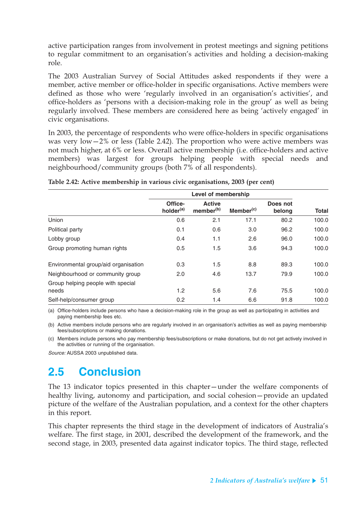active participation ranges from involvement in protest meetings and signing petitions to regular commitment to an organisation's activities and holding a decision-making role.

The 2003 Australian Survey of Social Attitudes asked respondents if they were a member, active member or office-holder in specific organisations. Active members were defined as those who were 'regularly involved in an organisation's activities', and office-holders as 'persons with a decision-making role in the group' as well as being regularly involved. These members are considered here as being 'actively engaged' in civic organisations.

In 2003, the percentage of respondents who were office-holders in specific organisations was very low $-2\%$  or less (Table 2.42). The proportion who were active members was not much higher, at 6% or less. Overall active membership (i.e. office-holders and active members) was largest for groups helping people with special needs and neighbourhood/community groups (both 7% of all respondents).

|                                      | Level of membership              |                                        |                       |                    |              |
|--------------------------------------|----------------------------------|----------------------------------------|-----------------------|--------------------|--------------|
|                                      | Office-<br>holder <sup>(a)</sup> | <b>Active</b><br>member <sup>(b)</sup> | Member <sup>(c)</sup> | Does not<br>belong | <b>Total</b> |
| Union                                | 0.6                              | 2.1                                    | 17.1                  | 80.2               | 100.0        |
| Political party                      | 0.1                              | 0.6                                    | 3.0                   | 96.2               | 100.0        |
| Lobby group                          | 0.4                              | 1.1                                    | 2.6                   | 96.0               | 100.0        |
| Group promoting human rights         | 0.5                              | 1.5                                    | 3.6                   | 94.3               | 100.0        |
| Environmental group/aid organisation | 0.3                              | 1.5                                    | 8.8                   | 89.3               | 100.0        |
| Neighbourhood or community group     | 2.0                              | 4.6                                    | 13.7                  | 79.9               | 100.0        |
| Group helping people with special    |                                  |                                        |                       |                    |              |
| needs                                | 1.2                              | 5.6                                    | 7.6                   | 75.5               | 100.0        |
| Self-help/consumer group             | 0.2                              | 1.4                                    | 6.6                   | 91.8               | 100.0        |

**Table 2.42: Active membership in various civic organisations, 2003 (per cent)**

(a) Office-holders include persons who have a decision-making role in the group as well as participating in activities and paying membership fees etc.

(b) Active members include persons who are regularly involved in an organisation's activities as well as paying membership fees/subscriptions or making donations.

(c) Members include persons who pay membership fees/subscriptions or make donations, but do not get actively involved in the activities or running of the organisation.

Source: AUSSA 2003 unpublished data.

# **2.5 Conclusion**

The 13 indicator topics presented in this chapter—under the welfare components of healthy living, autonomy and participation, and social cohesion—provide an updated picture of the welfare of the Australian population, and a context for the other chapters in this report.

This chapter represents the third stage in the development of indicators of Australia's welfare. The first stage, in 2001, described the development of the framework, and the second stage, in 2003, presented data against indicator topics. The third stage, reflected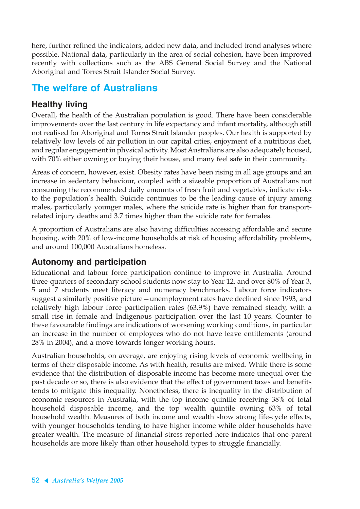here, further refined the indicators, added new data, and included trend analyses where possible. National data, particularly in the area of social cohesion, have been improved recently with collections such as the ABS General Social Survey and the National Aboriginal and Torres Strait Islander Social Survey.

## **The welfare of Australians**

### **Healthy living**

Overall, the health of the Australian population is good. There have been considerable improvements over the last century in life expectancy and infant mortality, although still not realised for Aboriginal and Torres Strait Islander peoples. Our health is supported by relatively low levels of air pollution in our capital cities, enjoyment of a nutritious diet, and regular engagement in physical activity. Most Australians are also adequately housed, with 70% either owning or buying their house, and many feel safe in their community.

Areas of concern, however, exist. Obesity rates have been rising in all age groups and an increase in sedentary behaviour, coupled with a sizeable proportion of Australians not consuming the recommended daily amounts of fresh fruit and vegetables, indicate risks to the population's health. Suicide continues to be the leading cause of injury among males, particularly younger males, where the suicide rate is higher than for transportrelated injury deaths and 3.7 times higher than the suicide rate for females.

A proportion of Australians are also having difficulties accessing affordable and secure housing, with 20% of low-income households at risk of housing affordability problems, and around 100,000 Australians homeless.

### **Autonomy and participation**

Educational and labour force participation continue to improve in Australia. Around three-quarters of secondary school students now stay to Year 12, and over 80% of Year 3, 5 and 7 students meet literacy and numeracy benchmarks. Labour force indicators suggest a similarly positive picture—unemployment rates have declined since 1993, and relatively high labour force participation rates (63.9%) have remained steady, with a small rise in female and Indigenous participation over the last 10 years. Counter to these favourable findings are indications of worsening working conditions, in particular an increase in the number of employees who do not have leave entitlements (around 28% in 2004), and a move towards longer working hours.

Australian households, on average, are enjoying rising levels of economic wellbeing in terms of their disposable income. As with health, results are mixed. While there is some evidence that the distribution of disposable income has become more unequal over the past decade or so, there is also evidence that the effect of government taxes and benefits tends to mitigate this inequality. Nonetheless, there is inequality in the distribution of economic resources in Australia, with the top income quintile receiving 38% of total household disposable income, and the top wealth quintile owning 63% of total household wealth. Measures of both income and wealth show strong life-cycle effects, with younger households tending to have higher income while older households have greater wealth. The measure of financial stress reported here indicates that one-parent households are more likely than other household types to struggle financially.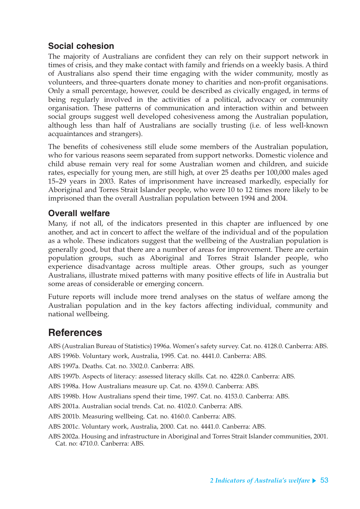### **Social cohesion**

The majority of Australians are confident they can rely on their support network in times of crisis, and they make contact with family and friends on a weekly basis. A third of Australians also spend their time engaging with the wider community, mostly as volunteers, and three-quarters donate money to charities and non-profit organisations. Only a small percentage, however, could be described as civically engaged, in terms of being regularly involved in the activities of a political, advocacy or community organisation. These patterns of communication and interaction within and between social groups suggest well developed cohesiveness among the Australian population, although less than half of Australians are socially trusting (i.e. of less well-known acquaintances and strangers).

The benefits of cohesiveness still elude some members of the Australian population, who for various reasons seem separated from support networks. Domestic violence and child abuse remain very real for some Australian women and children, and suicide rates, especially for young men, are still high, at over 25 deaths per 100,000 males aged 15–29 years in 2003. Rates of imprisonment have increased markedly, especially for Aboriginal and Torres Strait Islander people, who were 10 to 12 times more likely to be imprisoned than the overall Australian population between 1994 and 2004.

### **Overall welfare**

Many, if not all, of the indicators presented in this chapter are influenced by one another, and act in concert to affect the welfare of the individual and of the population as a whole. These indicators suggest that the wellbeing of the Australian population is generally good, but that there are a number of areas for improvement. There are certain population groups, such as Aboriginal and Torres Strait Islander people, who experience disadvantage across multiple areas. Other groups, such as younger Australians, illustrate mixed patterns with many positive effects of life in Australia but some areas of considerable or emerging concern.

Future reports will include more trend analyses on the status of welfare among the Australian population and in the key factors affecting individual, community and national wellbeing.

## **References**

ABS (Australian Bureau of Statistics) 1996a. Women's safety survey. Cat. no. 4128.0. Canberra: ABS.

ABS 1996b. Voluntary work, Australia, 1995. Cat. no. 4441.0. Canberra: ABS.

ABS 1997a. Deaths. Cat. no. 3302.0. Canberra: ABS.

ABS 1997b. Aspects of literacy: assessed literacy skills. Cat. no. 4228.0. Canberra: ABS.

ABS 1998a. How Australians measure up. Cat. no. 4359.0. Canberra: ABS.

ABS 1998b. How Australians spend their time, 1997. Cat. no. 4153.0. Canberra: ABS.

ABS 2001a. Australian social trends. Cat. no. 4102.0. Canberra: ABS.

ABS 2001b. Measuring wellbeing. Cat. no. 4160.0. Canberra: ABS.

ABS 2001c. Voluntary work, Australia, 2000. Cat. no. 4441.0. Canberra: ABS.

ABS 2002a. Housing and infrastructure in Aboriginal and Torres Strait Islander communities, 2001. Cat. no: 4710.0. Canberra: ABS.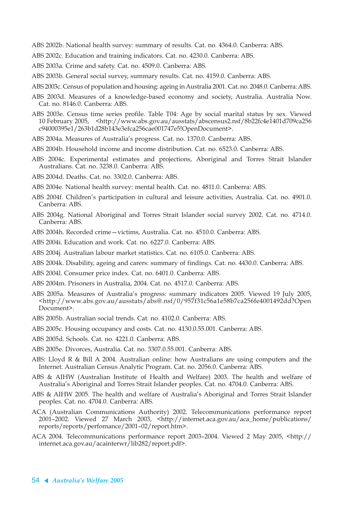ABS 2002b. National health survey: summary of results. Cat. no. 4364.0. Canberra: ABS.

- ABS 2002c. Education and training indicators. Cat. no. 4230.0. Canberra: ABS.
- ABS 2003a. Crime and safety. Cat. no. 4509.0. Canberra: ABS.
- ABS 2003b. General social survey, summary results. Cat. no. 4159.0. Canberra: ABS.
- ABS 2003c. Census of population and housing: ageing in Australia 2001. Cat. no. 2048.0. Canberra: ABS.
- ABS 2003d. Measures of a knowledge-based economy and society, Australia. Australia Now. Cat. no. 8146.0. Canberra: ABS.
- ABS 2003e. Census time series profile. Table T04: Age by social marital status by sex. Viewed 10 February 2005, <http://www.abs.gov.au/ausstats/abscensus2.nsf/8b22fc4e1401d709ca256 c94000395e1/263b1d28b143e3efca256cae001747e5!OpenDocument>.
- ABS 2004a. Measures of Australia's progress. Cat. no. 1370.0. Canberra: ABS.
- ABS 2004b. Household income and income distribution. Cat. no. 6523.0. Canberra: ABS.
- ABS 2004c. Experimental estimates and projections, Aboriginal and Torres Strait Islander Australians. Cat. no. 3238.0. Canberra: ABS.
- ABS 2004d. Deaths. Cat. no. 3302.0. Canberra: ABS.
- ABS 2004e. National health survey: mental health. Cat. no. 4811.0. Canberra: ABS.
- ABS 2004f. Children's participation in cultural and leisure activities, Australia. Cat. no. 4901.0. Canberra: ABS.
- ABS 2004g. National Aboriginal and Torres Strait Islander social survey 2002. Cat. no. 4714.0. Canberra: ABS.
- ABS 2004h. Recorded crime—victims, Australia. Cat. no. 4510.0. Canberra: ABS.
- ABS 2004i. Education and work. Cat. no. 6227.0. Canberra: ABS.
- ABS 2004j. Australian labour market statistics. Cat. no. 6105.0. Canberra: ABS.
- ABS 2004k. Disability, ageing and carers: summary of findings. Cat. no. 4430.0. Canberra: ABS.
- ABS 2004l. Consumer price index. Cat. no. 6401.0. Canberra: ABS.
- ABS 2004m. Prisoners in Australia, 2004. Cat. no. 4517.0. Canberra: ABS.
- ABS 2005a. Measures of Australia's progress: summary indicators 2005. Viewed 19 July 2005, <http://www.abs.gov.au/ausstats/abs@.nsf/0/957f31c56a1e58b7ca256fe4001492dd?Open Document>.
- ABS 2005b. Australian social trends. Cat. no. 4102.0. Canberra: ABS.
- ABS 2005c. Housing occupancy and costs. Cat. no. 4130.0.55.001. Canberra: ABS.
- ABS 2005d. Schools. Cat. no. 4221.0. Canberra: ABS.
- ABS 2005e. Divorces, Australia. Cat. no. 3307.0.55.001. Canberra: ABS.
- ABS: Lloyd R & Bill A 2004. Australian online: how Australians are using computers and the Internet. Australian Census Analytic Program. Cat. no. 2056.0. Canberra: ABS.
- ABS & AIHW (Australian Institute of Health and Welfare) 2003. The health and welfare of Australia's Aboriginal and Torres Strait Islander peoples. Cat. no. 4704.0. Canberra: ABS.
- ABS & AIHW 2005. The health and welfare of Australia's Aboriginal and Torres Strait Islander peoples. Cat. no. 4704.0. Canberra: ABS.
- ACA (Australian Communications Authority) 2002. Telecommunications performance report 2001–2002. Viewed 27 March 2003, <http://internet.aca.gov.au/aca\_home/publications/ reports/reports/perfomance/2001–02/report.htm>.
- ACA 2004. Telecommunications performance report 2003–2004. Viewed 2 May 2005, <http:// internet.aca.gov.au/acainterwr/lib282/report.pdf>.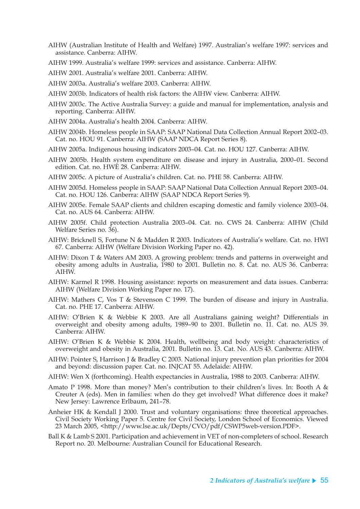- AIHW (Australian Institute of Health and Welfare) 1997. Australian's welfare 1997: services and assistance. Canberra: AIHW.
- AIHW 1999. Australia's welfare 1999: services and assistance. Canberra: AIHW.
- AIHW 2001. Australia's welfare 2001. Canberra: AIHW.
- AIHW 2003a. Australia's welfare 2003. Canberra: AIHW.
- AIHW 2003b. Indicators of health risk factors: the AIHW view. Canberra: AIHW.
- AIHW 2003c. The Active Australia Survey: a guide and manual for implementation, analysis and reporting. Canberra: AIHW.
- AIHW 2004a. Australia's health 2004. Canberra: AIHW.
- AIHW 2004b. Homeless people in SAAP: SAAP National Data Collection Annual Report 2002–03. Cat. no. HOU 91. Canberra: AIHW (SAAP NDCA Report Series 8).
- AIHW 2005a. Indigenous housing indicators 2003–04. Cat. no. HOU 127. Canberra: AIHW.
- AIHW 2005b. Health system expenditure on disease and injury in Australia, 2000–01. Second edition. Cat. no. HWE 28. Canberra: AIHW.
- AIHW 2005c. A picture of Australia's children. Cat. no. PHE 58. Canberra: AIHW.
- AIHW 2005d. Homeless people in SAAP: SAAP National Data Collection Annual Report 2003–04. Cat. no. HOU 126. Canberra: AIHW (SAAP NDCA Report Series 9).
- AIHW 2005e. Female SAAP clients and children escaping domestic and family violence 2003–04. Cat. no. AUS 64. Canberra: AIHW.
- AIHW 2005f. Child protection Australia 2003–04. Cat. no. CWS 24. Canberra: AIHW (Child Welfare Series no. 36).
- AIHW: Bricknell S, Fortune N & Madden R 2003. Indicators of Australia's welfare. Cat. no. HWI 67. Canberra: AIHW (Welfare Division Working Paper no. 42).
- AIHW: Dixon T & Waters AM 2003. A growing problem: trends and patterns in overweight and obesity among adults in Australia, 1980 to 2001. Bulletin no. 8. Cat. no. AUS 36. Canberra: AIHW.
- AIHW: Karmel R 1998. Housing assistance: reports on measurement and data issues. Canberra: AIHW (Welfare Division Working Paper no. 17).
- AIHW: Mathers C, Vos T & Stevenson C 1999. The burden of disease and injury in Australia. Cat. no. PHE 17. Canberra: AIHW.
- AIHW: O'Brien K & Webbie K 2003. Are all Australians gaining weight? Differentials in overweight and obesity among adults, 1989–90 to 2001. Bulletin no. 11. Cat. no. AUS 39. Canberra: AIHW.
- AIHW: O'Brien K & Webbie K 2004. Health, wellbeing and body weight: characteristics of overweight and obesity in Australia, 2001. Bulletin no. 13. Cat. No. AUS 43. Canberra: AIHW.
- AIHW: Pointer S, Harrison J & Bradley C 2003. National injury prevention plan priorities for 2004 and beyond: discussion paper. Cat. no. INJCAT 55. Adelaide: AIHW.
- AIHW: Wen X (forthcoming). Health expectancies in Australia, 1988 to 2003. Canberra: AIHW.
- Amato P 1998. More than money? Men's contribution to their children's lives. In: Booth A & Creuter A (eds). Men in families: when do they get involved? What difference does it make? New Jersey: Lawrence Erlbaum, 241–78.
- Anheier HK & Kendall J 2000. Trust and voluntary organisations: three theoretical approaches. Civil Society Working Paper 5. Centre for Civil Society, London School of Economics. Viewed 23 March 2005, <http://www.lse.ac.uk/Depts/CVO/pdf/CSWP5web-version.PDF>.
- Ball K & Lamb S 2001. Participation and achievement in VET of non-completers of school. Research Report no. 20. Melbourne: Australian Council for Educational Research.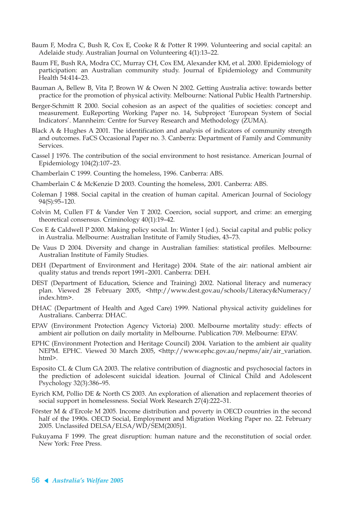- Baum F, Modra C, Bush R, Cox E, Cooke R & Potter R 1999. Volunteering and social capital: an Adelaide study. Australian Journal on Volunteering 4(1):13–22.
- Baum FE, Bush RA, Modra CC, Murray CH, Cox EM, Alexander KM, et al. 2000. Epidemiology of participation: an Australian community study. Journal of Epidemiology and Community Health 54:414–23.
- Bauman A, Bellew B, Vita P, Brown W & Owen N 2002. Getting Australia active: towards better practice for the promotion of physical activity. Melbourne: National Public Health Partnership.
- Berger-Schmitt R 2000. Social cohesion as an aspect of the qualities of societies: concept and measurement. EuReporting Working Paper no. 14, Subproject 'European System of Social Indicators'. Mannheim: Centre for Survey Research and Methodology (ZUMA).
- Black A & Hughes A 2001. The identification and analysis of indicators of community strength and outcomes. FaCS Occasional Paper no. 3. Canberra: Department of Family and Community Services.
- Cassel J 1976. The contribution of the social environment to host resistance. American Journal of Epidemiology 104(2):107–23.
- Chamberlain C 1999. Counting the homeless, 1996. Canberra: ABS.
- Chamberlain C & McKenzie D 2003. Counting the homeless, 2001. Canberra: ABS.
- Coleman J 1988. Social capital in the creation of human capital. American Journal of Sociology 94(S):95–120.
- Colvin M, Cullen FT & Vander Ven T 2002. Coercion, social support, and crime: an emerging theoretical consensus. Criminology 40(1):19–42.
- Cox E & Caldwell P 2000. Making policy social. In: Winter I (ed.). Social capital and public policy in Australia. Melbourne: Australian Institute of Family Studies, 43–73.
- De Vaus D 2004. Diversity and change in Australian families: statistical profiles. Melbourne: Australian Institute of Family Studies.
- DEH (Department of Environment and Heritage) 2004. State of the air: national ambient air quality status and trends report 1991–2001. Canberra: DEH.
- DEST (Department of Education, Science and Training) 2002. National literacy and numeracy plan. Viewed 28 February 2005, <http://www.dest.gov.au/schools/Literacy&Numeracy/ index.htm>.
- DHAC (Department of Health and Aged Care) 1999. National physical activity guidelines for Australians. Canberra: DHAC.
- EPAV (Environment Protection Agency Victoria) 2000. Melbourne mortality study: effects of ambient air pollution on daily mortality in Melbourne. Publication 709. Melbourne: EPAV.
- EPHC (Environment Protection and Heritage Council) 2004. Variation to the ambient air quality NEPM. EPHC. Viewed 30 March 2005, <http://www.ephc.gov.au/nepms/air/air\_variation. html>.
- Esposito CL & Clum GA 2003. The relative contribution of diagnostic and psychosocial factors in the prediction of adolescent suicidal ideation. Journal of Clinical Child and Adolescent Psychology 32(3):386–95.
- Eyrich KM, Pollio DE & North CS 2003. An exploration of alienation and replacement theories of social support in homelessness. Social Work Research 27(4):222–31.
- Förster M & d'Ercole M 2005. Income distribution and poverty in OECD countries in the second half of the 1990s. OECD Social, Employment and Migration Working Paper no. 22. February 2005. Unclassifed DELSA/ELSA/WD/SEM(2005)1.
- Fukuyama F 1999. The great disruption: human nature and the reconstitution of social order. New York: Free Press.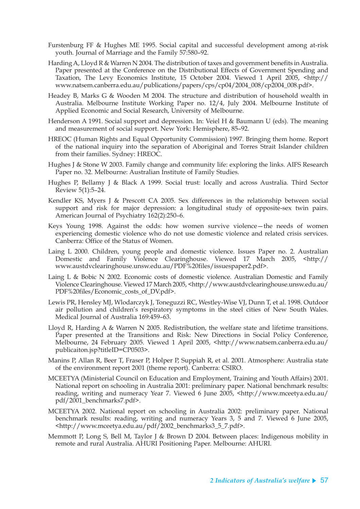- Furstenburg FF & Hughes ME 1995. Social capital and successful development among at-risk youth. Journal of Marriage and the Family 57:580–92.
- Harding A, Lloyd R & Warren N 2004. The distribution of taxes and government benefits in Australia. Paper presented at the Conference on the Distributional Effects of Government Spending and Taxation, The Levy Economics Institute, 15 October 2004. Viewed 1 April 2005, <http:// www.natsem.canberra.edu.au/publications/papers/cps/cp04/2004\_008/cp2004\_008.pdf>.
- Headey B, Marks G & Wooden M 2004. The structure and distribution of household wealth in Australia. Melbourne Institute Working Paper no. 12/4, July 2004. Melbourne Institute of Applied Economic and Social Research, University of Melbourne.
- Henderson A 1991. Social support and depression. In: Veiel H & Baumann U (eds). The meaning and measurement of social support. New York: Hemisphere, 85–92.
- HREOC (Human Rights and Equal Opportunity Commission) 1997. Bringing them home. Report of the national inquiry into the separation of Aboriginal and Torres Strait Islander children from their families. Sydney: HREOC.
- Hughes J & Stone W 2003. Family change and community life: exploring the links. AIFS Research Paper no. 32. Melbourne: Australian Institute of Family Studies.
- Hughes P, Bellamy J & Black A 1999. Social trust: locally and across Australia. Third Sector Review 5(1):5–24.
- Kendler KS, Myers J & Prescott CA 2005. Sex differences in the relationship between social support and risk for major depression: a longitudinal study of opposite-sex twin pairs. American Journal of Psychiatry 162(2):250–6.
- Keys Young 1998. Against the odds: how women survive violence—the needs of women experiencing domestic violence who do not use domestic violence and related crisis services. Canberra: Office of the Status of Women.
- Laing L 2000. Children, young people and domestic violence. Issues Paper no. 2. Australian Domestic and Family Violence Clearinghouse. Viewed 17 March 2005, <http:// www.austdvclearinghouse.unsw.edu.au/PDF%20files/issuespaper2.pdf>.
- Laing L & Bobic N 2002. Economic costs of domestic violence. Australian Domestic and Family Violence Clearinghouse. Viewed 17 March 2005, <http://www.austdvclearinghouse.unsw.edu.au/ PDF%20files/Economic\_costs\_of\_DV.pdf>.
- Lewis PR, Hensley MJ, Wlodarczyk J, Toneguzzi RC, Westley-Wise VJ, Dunn T, et al. 1998. Outdoor air pollution and children's respiratory symptoms in the steel cities of New South Wales. Medical Journal of Australia 169:459–63.
- Lloyd R, Harding A & Warren N 2005. Redistribution, the welfare state and lifetime transitions. Paper presented at the Transitions and Risk: New Directions in Social Policy Conference, Melbourne, 24 February 2005. Viewed 1 April 2005, <http://www.natsem.canberra.edu.au/ publicaiton.jsp?titleID=CP0503>.
- Manins P, Allan R, Beer T, Fraser P, Holper P, Suppiah R, et al. 2001. Atmosphere: Australia state of the environment report 2001 (theme report). Canberra: CSIRO.
- MCEETYA (Ministerial Council on Education and Employment, Training and Youth Affairs) 2001. National report on schooling in Australia 2001: preliminary paper. National benchmark results: reading, writing and numeracy Year 7. Viewed 6 June 2005, <http://www.mceetya.edu.au/ pdf/2001\_benchmarks7.pdf>.
- MCEETYA 2002. National report on schooling in Australia 2002: preliminary paper. National benchmark results: reading, writing and numeracy Years 3, 5 and 7. Viewed 6 June 2005, <http://www.mceetya.edu.au/pdf/2002\_benchmarks3\_5\_7.pdf>.
- Memmott P, Long S, Bell M, Taylor J & Brown D 2004. Between places: Indigenous mobility in remote and rural Australia. AHURI Positioning Paper. Melbourne: AHURI.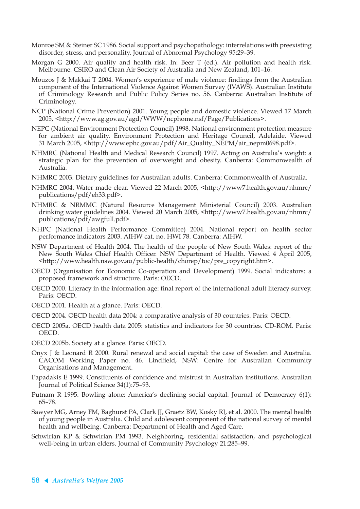- Monroe SM & Steiner SC 1986. Social support and psychopathology: interrelations with preexisting disorder, stress, and personality. Journal of Abnormal Psychology 95:29–39.
- Morgan G 2000. Air quality and health risk. In: Beer T (ed.). Air pollution and health risk. Melbourne: CSIRO and Clean Air Society of Australia and New Zealand, 101–16.
- Mouzos J & Makkai T 2004. Women's experience of male violence: findings from the Australian component of the International Violence Against Women Survey (IVAWS). Australian Institute of Criminology Research and Public Policy Series no. 56. Canberra: Australian Institute of Criminology.
- NCP (National Crime Prevention) 2001. Young people and domestic violence. Viewed 17 March 2005, <http://www.ag.gov.au/agd/WWW/ncphome.nsf/Page/Publications>.
- NEPC (National Environment Protection Council) 1998. National environment protection measure for ambient air quality. Environment Protection and Heritage Council, Adelaide. Viewed 31 March 2005, <http://www.ephc.gov.au/pdf/Air\_Quality\_NEPM/air\_nepm0698.pdf>.
- NHMRC (National Health and Medical Research Council) 1997. Acting on Australia's weight: a strategic plan for the prevention of overweight and obesity. Canberra: Commonwealth of Australia.
- NHMRC 2003. Dietary guidelines for Australian adults. Canberra: Commonwealth of Australia.
- NHMRC 2004. Water made clear. Viewed 22 March 2005, <http://www7.health.gov.au/nhmrc/ publications/pdf/eh33.pdf>.
- NHMRC & NRMMC (Natural Resource Management Ministerial Council) 2003. Australian drinking water guidelines 2004. Viewed 20 March 2005, <http://www7.health.gov.au/nhmrc/ publications/pdf/awgfull.pdf>.
- NHPC (National Health Performance Committee) 2004. National report on health sector performance indicators 2003. AIHW cat. no. HWI 78. Canberra: AIHW.
- NSW Department of Health 2004. The health of the people of New South Wales: report of the New South Wales Chief Health Officer. NSW Department of Health. Viewed 4 April 2005, <http://www.health.nsw.gov.au/public-health/chorep/toc/pre\_copyright.htm>.
- OECD (Organisation for Economic Co-operation and Development) 1999. Social indicators: a proposed framework and structure. Paris: OECD.
- OECD 2000. Literacy in the information age: final report of the international adult literacy survey. Paris: OECD.
- OECD 2001. Health at a glance. Paris: OECD.
- OECD 2004. OECD health data 2004: a comparative analysis of 30 countries. Paris: OECD.
- OECD 2005a. OECD health data 2005: statistics and indicators for 30 countries. CD-ROM. Paris: OECD.
- OECD 2005b. Society at a glance. Paris: OECD.
- Onyx J & Leonard R 2000. Rural renewal and social capital: the case of Sweden and Australia. CACOM Working Paper no. 46. Lindfield, NSW: Centre for Australian Community Organisations and Management.
- Papadakis E 1999. Constituents of confidence and mistrust in Australian institutions. Australian Journal of Political Science 34(1):75–93.
- Putnam R 1995. Bowling alone: America's declining social capital. Journal of Democracy 6(1): 65–78.
- Sawyer MG, Arney FM, Baghurst PA, Clark JJ, Graetz BW, Kosky RJ, et al. 2000. The mental health of young people in Australia. Child and adolescent component of the national survey of mental health and wellbeing. Canberra: Department of Health and Aged Care.
- Schwirian KP & Schwirian PM 1993. Neighboring, residential satisfaction, and psychological well-being in urban elders. Journal of Community Psychology 21:285–99.